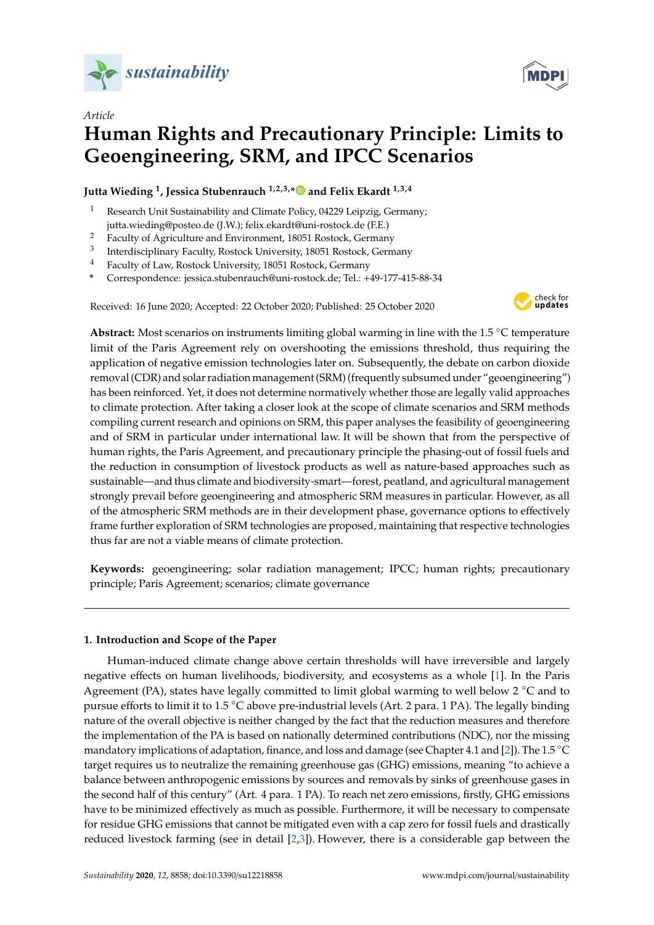



# *Article* **Human Rights and Precautionary Principle: Limits to Geoengineering, SRM, and IPCC Scenarios**

**Jutta Wieding <sup>1</sup> , Jessica Stubenrauch 1,2,3,[\\*](https://orcid.org/0000-0003-4819-6287) and Felix Ekardt 1,3,4**

- Research Unit Sustainability and Climate Policy, 04229 Leipzig, Germany; jutta.wieding@posteo.de (J.W.); felix.ekardt@uni-rostock.de (F.E.)
- <sup>2</sup> Faculty of Agriculture and Environment, 18051 Rostock, Germany
- 3 Interdisciplinary Faculty, Rostock University, 18051 Rostock, Germany
- <sup>4</sup> Faculty of Law, Rostock University, 18051 Rostock, Germany
- **\*** Correspondence: jessica.stubenrauch@uni-rostock.de; Tel.: +49-177-415-88-34

Received: 16 June 2020; Accepted: 22 October 2020; Published: 25 October 2020



**Abstract:** Most scenarios on instruments limiting global warming in line with the 1.5 ◦C temperature limit of the Paris Agreement rely on overshooting the emissions threshold, thus requiring the application of negative emission technologies later on. Subsequently, the debate on carbon dioxide removal (CDR) and solar radiation management (SRM) (frequently subsumed under "geoengineering") has been reinforced. Yet, it does not determine normatively whether those are legally valid approaches to climate protection. After taking a closer look at the scope of climate scenarios and SRM methods compiling current research and opinions on SRM, this paper analyses the feasibility of geoengineering and of SRM in particular under international law. It will be shown that from the perspective of human rights, the Paris Agreement, and precautionary principle the phasing-out of fossil fuels and the reduction in consumption of livestock products as well as nature-based approaches such as sustainable—and thus climate and biodiversity-smart—forest, peatland, and agricultural management strongly prevail before geoengineering and atmospheric SRM measures in particular. However, as all of the atmospheric SRM methods are in their development phase, governance options to effectively frame further exploration of SRM technologies are proposed, maintaining that respective technologies thus far are not a viable means of climate protection.

**Keywords:** geoengineering; solar radiation management; IPCC; human rights; precautionary principle; Paris Agreement; scenarios; climate governance

# **1. Introduction and Scope of the Paper**

Human-induced climate change above certain thresholds will have irreversible and largely negative effects on human livelihoods, biodiversity, and ecosystems as a whole [\[1\]](#page-13-0). In the Paris Agreement (PA), states have legally committed to limit global warming to well below 2  $°C$  and to pursue efforts to limit it to 1.5 ◦C above pre-industrial levels (Art. 2 para. 1 PA). The legally binding nature of the overall objective is neither changed by the fact that the reduction measures and therefore the implementation of the PA is based on nationally determined contributions (NDC), nor the missing mandatory implications of adaptation, finance, and loss and damage (see Chapter 4.1 and [\[2\]](#page-13-1)). The 1.5 ◦<sup>C</sup> target requires us to neutralize the remaining greenhouse gas (GHG) emissions, meaning "to achieve a balance between anthropogenic emissions by sources and removals by sinks of greenhouse gases in the second half of this century" (Art. 4 para. 1 PA). To reach net zero emissions, firstly, GHG emissions have to be minimized effectively as much as possible. Furthermore, it will be necessary to compensate for residue GHG emissions that cannot be mitigated even with a cap zero for fossil fuels and drastically reduced livestock farming (see in detail [\[2,](#page-13-1)[3\]](#page-14-0)). However, there is a considerable gap between the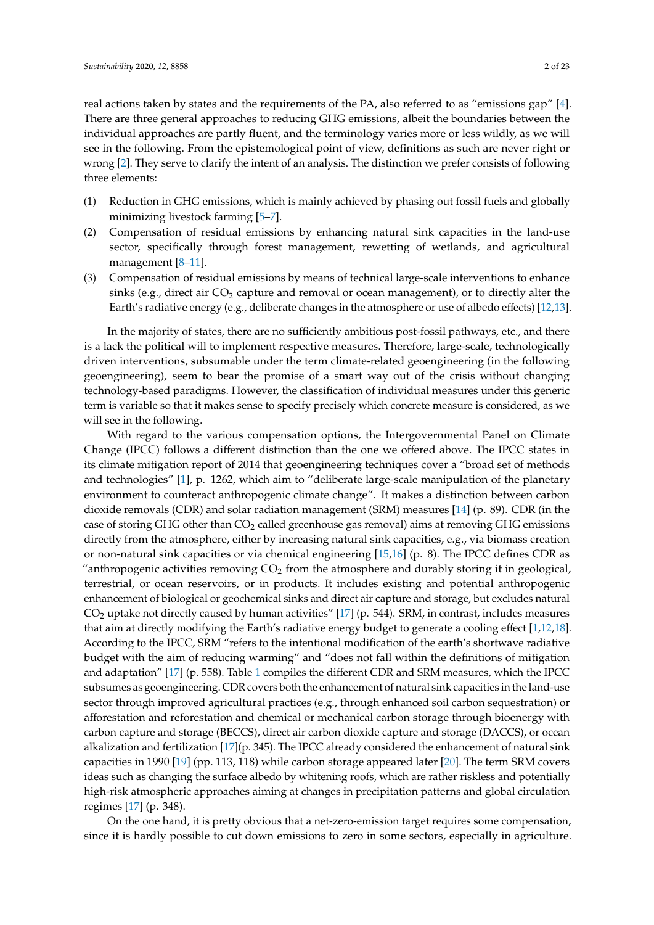real actions taken by states and the requirements of the PA, also referred to as "emissions gap" [\[4\]](#page-14-1). There are three general approaches to reducing GHG emissions, albeit the boundaries between the individual approaches are partly fluent, and the terminology varies more or less wildly, as we will see in the following. From the epistemological point of view, definitions as such are never right or wrong [\[2\]](#page-13-1). They serve to clarify the intent of an analysis. The distinction we prefer consists of following three elements:

- (1) Reduction in GHG emissions, which is mainly achieved by phasing out fossil fuels and globally minimizing livestock farming [\[5](#page-14-2)[–7\]](#page-14-3).
- (2) Compensation of residual emissions by enhancing natural sink capacities in the land-use sector, specifically through forest management, rewetting of wetlands, and agricultural management [\[8–](#page-14-4)[11\]](#page-14-5).
- (3) Compensation of residual emissions by means of technical large-scale interventions to enhance sinks (e.g., direct air  $CO<sub>2</sub>$  capture and removal or ocean management), or to directly alter the Earth's radiative energy (e.g., deliberate changes in the atmosphere or use of albedo effects) [\[12](#page-14-6)[,13\]](#page-14-7).

In the majority of states, there are no sufficiently ambitious post-fossil pathways, etc., and there is a lack the political will to implement respective measures. Therefore, large-scale, technologically driven interventions, subsumable under the term climate-related geoengineering (in the following geoengineering), seem to bear the promise of a smart way out of the crisis without changing technology-based paradigms. However, the classification of individual measures under this generic term is variable so that it makes sense to specify precisely which concrete measure is considered, as we will see in the following.

With regard to the various compensation options, the Intergovernmental Panel on Climate Change (IPCC) follows a different distinction than the one we offered above. The IPCC states in its climate mitigation report of 2014 that geoengineering techniques cover a "broad set of methods and technologies" [\[1\]](#page-13-0), p. 1262, which aim to "deliberate large-scale manipulation of the planetary environment to counteract anthropogenic climate change". It makes a distinction between carbon dioxide removals (CDR) and solar radiation management (SRM) measures [\[14\]](#page-14-8) (p. 89). CDR (in the case of storing GHG other than CO<sup>2</sup> called greenhouse gas removal) aims at removing GHG emissions directly from the atmosphere, either by increasing natural sink capacities, e.g., via biomass creation or non-natural sink capacities or via chemical engineering [\[15,](#page-14-9)[16\]](#page-14-10) (p. 8). The IPCC defines CDR as "anthropogenic activities removing  $CO<sub>2</sub>$  from the atmosphere and durably storing it in geological, terrestrial, or ocean reservoirs, or in products. It includes existing and potential anthropogenic enhancement of biological or geochemical sinks and direct air capture and storage, but excludes natural  $CO<sub>2</sub>$  uptake not directly caused by human activities" [\[17\]](#page-14-11) (p. 544). SRM, in contrast, includes measures that aim at directly modifying the Earth's radiative energy budget to generate a cooling effect [\[1](#page-13-0)[,12](#page-14-6)[,18\]](#page-14-12). According to the IPCC, SRM "refers to the intentional modification of the earth's shortwave radiative budget with the aim of reducing warming" and "does not fall within the definitions of mitigation and adaptation" [\[17\]](#page-14-11) (p. 558). Table [1](#page-2-0) compiles the different CDR and SRM measures, which the IPCC subsumes as geoengineering. CDR covers both the enhancement of natural sink capacities in the land-use sector through improved agricultural practices (e.g., through enhanced soil carbon sequestration) or afforestation and reforestation and chemical or mechanical carbon storage through bioenergy with carbon capture and storage (BECCS), direct air carbon dioxide capture and storage (DACCS), or ocean alkalization and fertilization [\[17\]](#page-14-11)(p. 345). The IPCC already considered the enhancement of natural sink capacities in 1990 [\[19\]](#page-14-13) (pp. 113, 118) while carbon storage appeared later [\[20\]](#page-14-14). The term SRM covers ideas such as changing the surface albedo by whitening roofs, which are rather riskless and potentially high-risk atmospheric approaches aiming at changes in precipitation patterns and global circulation regimes [\[17\]](#page-14-11) (p. 348).

On the one hand, it is pretty obvious that a net-zero-emission target requires some compensation, since it is hardly possible to cut down emissions to zero in some sectors, especially in agriculture.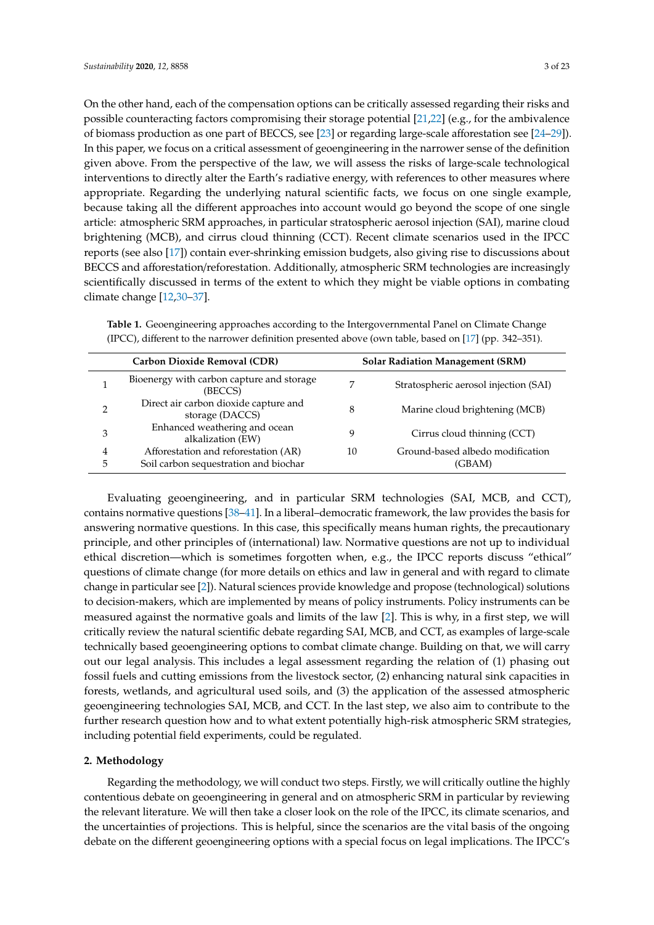On the other hand, each of the compensation options can be critically assessed regarding their risks and possible counteracting factors compromising their storage potential [\[21,](#page-14-15)[22\]](#page-14-16) (e.g., for the ambivalence of biomass production as one part of BECCS, see [\[23\]](#page-15-0) or regarding large-scale afforestation see [\[24–](#page-15-1)[29\]](#page-15-2)). In this paper, we focus on a critical assessment of geoengineering in the narrower sense of the definition given above. From the perspective of the law, we will assess the risks of large-scale technological interventions to directly alter the Earth's radiative energy, with references to other measures where appropriate. Regarding the underlying natural scientific facts, we focus on one single example, because taking all the different approaches into account would go beyond the scope of one single article: atmospheric SRM approaches, in particular stratospheric aerosol injection (SAI), marine cloud brightening (MCB), and cirrus cloud thinning (CCT). Recent climate scenarios used in the IPCC reports (see also [\[17\]](#page-14-11)) contain ever-shrinking emission budgets, also giving rise to discussions about BECCS and afforestation/reforestation. Additionally, atmospheric SRM technologies are increasingly scientifically discussed in terms of the extent to which they might be viable options in combating climate change [\[12,](#page-14-6)[30–](#page-15-3)[37\]](#page-15-4).

<span id="page-2-0"></span>**Table 1.** Geoengineering approaches according to the Intergovernmental Panel on Climate Change (IPCC), different to the narrower definition presented above (own table, based on [\[17\]](#page-14-11) (pp. 342–351).

| Carbon Dioxide Removal (CDR) |                                                                               | <b>Solar Radiation Management (SRM)</b> |                                            |
|------------------------------|-------------------------------------------------------------------------------|-----------------------------------------|--------------------------------------------|
|                              | Bioenergy with carbon capture and storage<br>(BECCS)                          | 7                                       | Stratospheric aerosol injection (SAI)      |
| $\overline{2}$               | Direct air carbon dioxide capture and<br>storage (DACCS)                      | 8                                       | Marine cloud brightening (MCB)             |
| 3                            | Enhanced weathering and ocean<br>alkalization (EW)                            | 9                                       | Cirrus cloud thinning (CCT)                |
| 4<br>5                       | Afforestation and reforestation (AR)<br>Soil carbon sequestration and biochar | 10                                      | Ground-based albedo modification<br>(GBAM) |

Evaluating geoengineering, and in particular SRM technologies (SAI, MCB, and CCT), contains normative questions [\[38–](#page-15-5)[41\]](#page-15-6). In a liberal–democratic framework, the law provides the basis for answering normative questions. In this case, this specifically means human rights, the precautionary principle, and other principles of (international) law. Normative questions are not up to individual ethical discretion—which is sometimes forgotten when, e.g., the IPCC reports discuss "ethical" questions of climate change (for more details on ethics and law in general and with regard to climate change in particular see [\[2\]](#page-13-1)). Natural sciences provide knowledge and propose (technological) solutions to decision-makers, which are implemented by means of policy instruments. Policy instruments can be measured against the normative goals and limits of the law [\[2\]](#page-13-1). This is why, in a first step, we will critically review the natural scientific debate regarding SAI, MCB, and CCT, as examples of large-scale technically based geoengineering options to combat climate change. Building on that, we will carry out our legal analysis. This includes a legal assessment regarding the relation of (1) phasing out fossil fuels and cutting emissions from the livestock sector, (2) enhancing natural sink capacities in forests, wetlands, and agricultural used soils, and (3) the application of the assessed atmospheric geoengineering technologies SAI, MCB, and CCT. In the last step, we also aim to contribute to the further research question how and to what extent potentially high-risk atmospheric SRM strategies, including potential field experiments, could be regulated.

## **2. Methodology**

Regarding the methodology, we will conduct two steps. Firstly, we will critically outline the highly contentious debate on geoengineering in general and on atmospheric SRM in particular by reviewing the relevant literature. We will then take a closer look on the role of the IPCC, its climate scenarios, and the uncertainties of projections. This is helpful, since the scenarios are the vital basis of the ongoing debate on the different geoengineering options with a special focus on legal implications. The IPCC's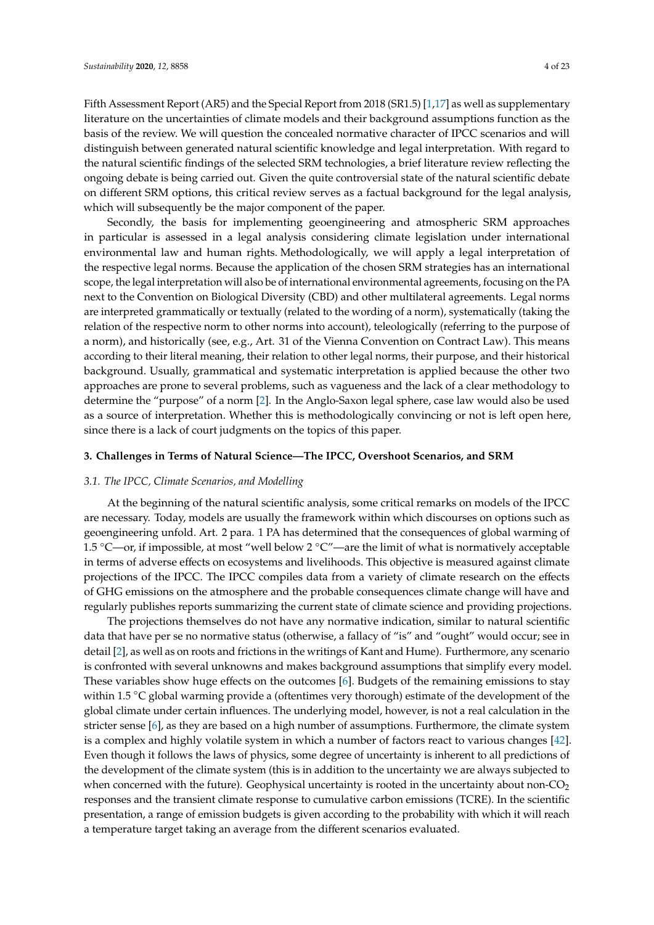Fifth Assessment Report (AR5) and the Special Report from 2018 (SR1.5) [\[1](#page-13-0)[,17\]](#page-14-11) as well as supplementary literature on the uncertainties of climate models and their background assumptions function as the basis of the review. We will question the concealed normative character of IPCC scenarios and will distinguish between generated natural scientific knowledge and legal interpretation. With regard to the natural scientific findings of the selected SRM technologies, a brief literature review reflecting the ongoing debate is being carried out. Given the quite controversial state of the natural scientific debate on different SRM options, this critical review serves as a factual background for the legal analysis, which will subsequently be the major component of the paper.

Secondly, the basis for implementing geoengineering and atmospheric SRM approaches in particular is assessed in a legal analysis considering climate legislation under international environmental law and human rights. Methodologically, we will apply a legal interpretation of the respective legal norms. Because the application of the chosen SRM strategies has an international scope, the legal interpretation will also be of international environmental agreements, focusing on the PA next to the Convention on Biological Diversity (CBD) and other multilateral agreements. Legal norms are interpreted grammatically or textually (related to the wording of a norm), systematically (taking the relation of the respective norm to other norms into account), teleologically (referring to the purpose of a norm), and historically (see, e.g., Art. 31 of the Vienna Convention on Contract Law). This means according to their literal meaning, their relation to other legal norms, their purpose, and their historical background. Usually, grammatical and systematic interpretation is applied because the other two approaches are prone to several problems, such as vagueness and the lack of a clear methodology to determine the "purpose" of a norm [\[2\]](#page-13-1). In the Anglo-Saxon legal sphere, case law would also be used as a source of interpretation. Whether this is methodologically convincing or not is left open here, since there is a lack of court judgments on the topics of this paper.

## **3. Challenges in Terms of Natural Science—The IPCC, Overshoot Scenarios, and SRM**

# *3.1. The IPCC, Climate Scenarios, and Modelling*

At the beginning of the natural scientific analysis, some critical remarks on models of the IPCC are necessary. Today, models are usually the framework within which discourses on options such as geoengineering unfold. Art. 2 para. 1 PA has determined that the consequences of global warming of 1.5 °C—or, if impossible, at most "well below 2 °C"—are the limit of what is normatively acceptable in terms of adverse effects on ecosystems and livelihoods. This objective is measured against climate projections of the IPCC. The IPCC compiles data from a variety of climate research on the effects of GHG emissions on the atmosphere and the probable consequences climate change will have and regularly publishes reports summarizing the current state of climate science and providing projections.

The projections themselves do not have any normative indication, similar to natural scientific data that have per se no normative status (otherwise, a fallacy of "is" and "ought" would occur; see in detail [\[2\]](#page-13-1), as well as on roots and frictions in the writings of Kant and Hume). Furthermore, any scenario is confronted with several unknowns and makes background assumptions that simplify every model. These variables show huge effects on the outcomes [\[6\]](#page-14-17). Budgets of the remaining emissions to stay within 1.5 ℃ global warming provide a (oftentimes very thorough) estimate of the development of the global climate under certain influences. The underlying model, however, is not a real calculation in the stricter sense [\[6\]](#page-14-17), as they are based on a high number of assumptions. Furthermore, the climate system is a complex and highly volatile system in which a number of factors react to various changes [\[42\]](#page-15-7). Even though it follows the laws of physics, some degree of uncertainty is inherent to all predictions of the development of the climate system (this is in addition to the uncertainty we are always subjected to when concerned with the future). Geophysical uncertainty is rooted in the uncertainty about non- $CO<sub>2</sub>$ responses and the transient climate response to cumulative carbon emissions (TCRE). In the scientific presentation, a range of emission budgets is given according to the probability with which it will reach a temperature target taking an average from the different scenarios evaluated.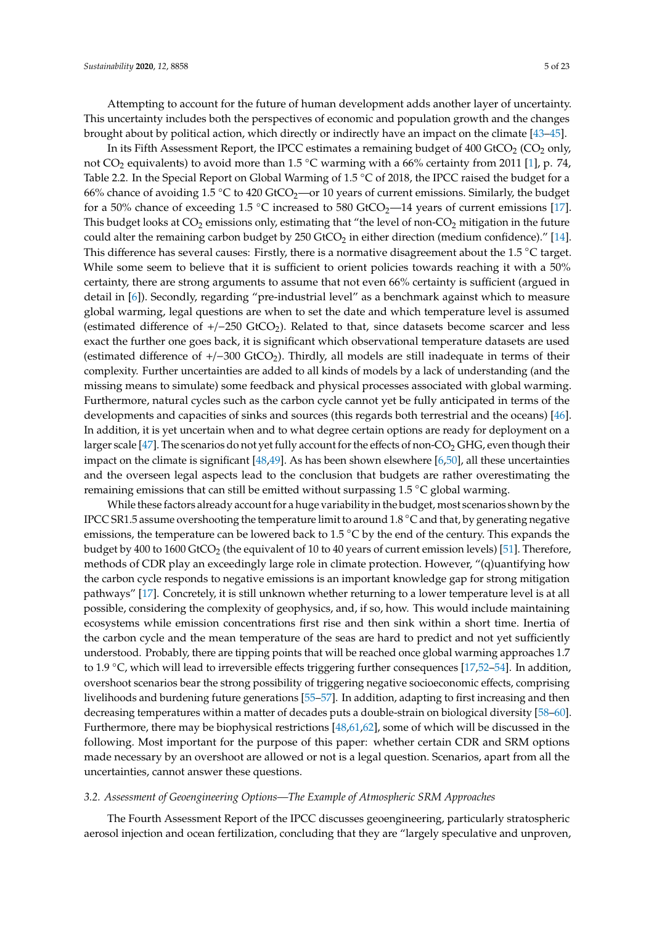Attempting to account for the future of human development adds another layer of uncertainty. This uncertainty includes both the perspectives of economic and population growth and the changes brought about by political action, which directly or indirectly have an impact on the climate [\[43–](#page-15-8)[45\]](#page-15-9).

In its Fifth Assessment Report, the IPCC estimates a remaining budget of  $400$  GtCO<sub>2</sub> (CO<sub>2</sub> only, not  $CO_2$  equivalents) to avoid more than 1.5 °C warming with a 66% certainty from 2011 [\[1\]](#page-13-0), p. 74, Table 2.2. In the Special Report on Global Warming of 1.5 °C of 2018, the IPCC raised the budget for a 66% chance of avoiding 1.5 °C to 420 GtCO<sub>2</sub>—or 10 years of current emissions. Similarly, the budget for a 50% chance of exceeding 1.5 °C increased to 580 GtCO<sub>2</sub>—14 years of current emissions [\[17\]](#page-14-11). This budget looks at  $CO_2$  emissions only, estimating that "the level of non- $CO_2$  mitigation in the future could alter the remaining carbon budget by 250 GtCO<sub>2</sub> in either direction (medium confidence)." [\[14\]](#page-14-8). This difference has several causes: Firstly, there is a normative disagreement about the 1.5 ◦C target. While some seem to believe that it is sufficient to orient policies towards reaching it with a 50% certainty, there are strong arguments to assume that not even 66% certainty is sufficient (argued in detail in [\[6\]](#page-14-17)). Secondly, regarding "pre-industrial level" as a benchmark against which to measure global warming, legal questions are when to set the date and which temperature level is assumed (estimated difference of +/−250 GtCO2). Related to that, since datasets become scarcer and less exact the further one goes back, it is significant which observational temperature datasets are used (estimated difference of  $+/-300$  GtCO<sub>2</sub>). Thirdly, all models are still inadequate in terms of their complexity. Further uncertainties are added to all kinds of models by a lack of understanding (and the missing means to simulate) some feedback and physical processes associated with global warming. Furthermore, natural cycles such as the carbon cycle cannot yet be fully anticipated in terms of the developments and capacities of sinks and sources (this regards both terrestrial and the oceans) [\[46\]](#page-15-10). In addition, it is yet uncertain when and to what degree certain options are ready for deployment on a larger scale [\[47\]](#page-16-0). The scenarios do not yet fully account for the effects of non-CO<sub>2</sub> GHG, even though their impact on the climate is significant  $[48,49]$  $[48,49]$ . As has been shown elsewhere  $[6,50]$  $[6,50]$ , all these uncertainties and the overseen legal aspects lead to the conclusion that budgets are rather overestimating the remaining emissions that can still be emitted without surpassing 1.5 ◦C global warming.

While these factors already account for a huge variability in the budget, most scenarios shown by the IPCC SR1.5 assume overshooting the temperature limit to around 1.8  $°C$  and that, by generating negative emissions, the temperature can be lowered back to 1.5 ◦C by the end of the century. This expands the budget by 400 to 1600 GtCO<sub>2</sub> (the equivalent of 10 to 40 years of current emission levels) [\[51\]](#page-16-4). Therefore, methods of CDR play an exceedingly large role in climate protection. However, "(q)uantifying how the carbon cycle responds to negative emissions is an important knowledge gap for strong mitigation pathways" [\[17\]](#page-14-11). Concretely, it is still unknown whether returning to a lower temperature level is at all possible, considering the complexity of geophysics, and, if so, how. This would include maintaining ecosystems while emission concentrations first rise and then sink within a short time. Inertia of the carbon cycle and the mean temperature of the seas are hard to predict and not yet sufficiently understood. Probably, there are tipping points that will be reached once global warming approaches 1.7 to 1.9 ◦C, which will lead to irreversible effects triggering further consequences [\[17](#page-14-11)[,52](#page-16-5)[–54\]](#page-16-6). In addition, overshoot scenarios bear the strong possibility of triggering negative socioeconomic effects, comprising livelihoods and burdening future generations [\[55](#page-16-7)[–57\]](#page-16-8). In addition, adapting to first increasing and then decreasing temperatures within a matter of decades puts a double-strain on biological diversity [\[58–](#page-16-9)[60\]](#page-16-10). Furthermore, there may be biophysical restrictions [\[48](#page-16-1)[,61](#page-16-11)[,62\]](#page-16-12), some of which will be discussed in the following. Most important for the purpose of this paper: whether certain CDR and SRM options made necessary by an overshoot are allowed or not is a legal question. Scenarios, apart from all the uncertainties, cannot answer these questions.

#### *3.2. Assessment of Geoengineering Options—The Example of Atmospheric SRM Approaches*

The Fourth Assessment Report of the IPCC discusses geoengineering, particularly stratospheric aerosol injection and ocean fertilization, concluding that they are "largely speculative and unproven,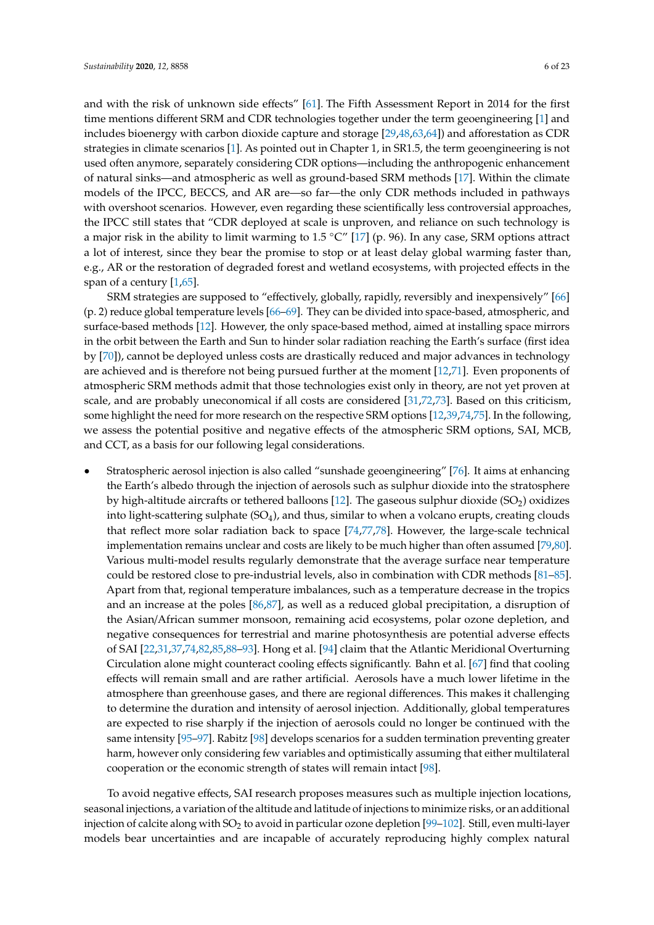and with the risk of unknown side effects" [\[61\]](#page-16-11). The Fifth Assessment Report in 2014 for the first time mentions different SRM and CDR technologies together under the term geoengineering [\[1\]](#page-13-0) and includes bioenergy with carbon dioxide capture and storage [\[29,](#page-15-2)[48,](#page-16-1)[63,](#page-16-13)[64\]](#page-16-14)) and afforestation as CDR strategies in climate scenarios [\[1\]](#page-13-0). As pointed out in Chapter 1, in SR1.5, the term geoengineering is not used often anymore, separately considering CDR options—including the anthropogenic enhancement of natural sinks—and atmospheric as well as ground-based SRM methods [\[17\]](#page-14-11). Within the climate models of the IPCC, BECCS, and AR are—so far—the only CDR methods included in pathways with overshoot scenarios. However, even regarding these scientifically less controversial approaches, the IPCC still states that "CDR deployed at scale is unproven, and reliance on such technology is a major risk in the ability to limit warming to 1.5 °C" [\[17\]](#page-14-11) (p. 96). In any case, SRM options attract a lot of interest, since they bear the promise to stop or at least delay global warming faster than, e.g., AR or the restoration of degraded forest and wetland ecosystems, with projected effects in the span of a century [\[1,](#page-13-0)[65\]](#page-16-15).

SRM strategies are supposed to "effectively, globally, rapidly, reversibly and inexpensively" [\[66\]](#page-17-0) (p. 2) reduce global temperature levels [\[66](#page-17-0)[–69\]](#page-17-1). They can be divided into space-based, atmospheric, and surface-based methods [\[12\]](#page-14-6). However, the only space-based method, aimed at installing space mirrors in the orbit between the Earth and Sun to hinder solar radiation reaching the Earth's surface (first idea by [\[70\]](#page-17-2)), cannot be deployed unless costs are drastically reduced and major advances in technology are achieved and is therefore not being pursued further at the moment [\[12](#page-14-6)[,71\]](#page-17-3). Even proponents of atmospheric SRM methods admit that those technologies exist only in theory, are not yet proven at scale, and are probably uneconomical if all costs are considered [\[31](#page-15-11)[,72](#page-17-4)[,73\]](#page-17-5). Based on this criticism, some highlight the need for more research on the respective SRM options [\[12,](#page-14-6)[39](#page-15-12)[,74](#page-17-6)[,75\]](#page-17-7). In the following, we assess the potential positive and negative effects of the atmospheric SRM options, SAI, MCB, and CCT, as a basis for our following legal considerations.

• Stratospheric aerosol injection is also called "sunshade geoengineering" [\[76\]](#page-17-8). It aims at enhancing the Earth's albedo through the injection of aerosols such as sulphur dioxide into the stratosphere by high-altitude aircrafts or tethered balloons [\[12\]](#page-14-6). The gaseous sulphur dioxide  $(SO<sub>2</sub>)$  oxidizes into light-scattering sulphate  $(SO<sub>4</sub>)$ , and thus, similar to when a volcano erupts, creating clouds that reflect more solar radiation back to space [\[74](#page-17-6)[,77](#page-17-9)[,78\]](#page-17-10). However, the large-scale technical implementation remains unclear and costs are likely to be much higher than often assumed [\[79](#page-17-11)[,80\]](#page-17-12). Various multi-model results regularly demonstrate that the average surface near temperature could be restored close to pre-industrial levels, also in combination with CDR methods [\[81–](#page-17-13)[85\]](#page-17-14). Apart from that, regional temperature imbalances, such as a temperature decrease in the tropics and an increase at the poles [\[86,](#page-17-15)[87\]](#page-17-16), as well as a reduced global precipitation, a disruption of the Asian/African summer monsoon, remaining acid ecosystems, polar ozone depletion, and negative consequences for terrestrial and marine photosynthesis are potential adverse effects of SAI [\[22](#page-14-16)[,31](#page-15-11)[,37](#page-15-4)[,74](#page-17-6)[,82](#page-17-17)[,85](#page-17-14)[,88–](#page-17-18)[93\]](#page-18-0). Hong et al. [\[94\]](#page-18-1) claim that the Atlantic Meridional Overturning Circulation alone might counteract cooling effects significantly. Bahn et al. [\[67\]](#page-17-19) find that cooling effects will remain small and are rather artificial. Aerosols have a much lower lifetime in the atmosphere than greenhouse gases, and there are regional differences. This makes it challenging to determine the duration and intensity of aerosol injection. Additionally, global temperatures are expected to rise sharply if the injection of aerosols could no longer be continued with the same intensity [\[95–](#page-18-2)[97\]](#page-18-3). Rabitz [\[98\]](#page-18-4) develops scenarios for a sudden termination preventing greater harm, however only considering few variables and optimistically assuming that either multilateral cooperation or the economic strength of states will remain intact [\[98\]](#page-18-4).

To avoid negative effects, SAI research proposes measures such as multiple injection locations, seasonal injections, a variation of the altitude and latitude of injections to minimize risks, or an additional injection of calcite along with  $SO<sub>2</sub>$  to avoid in particular ozone depletion [\[99–](#page-18-5)[102\]](#page-18-6). Still, even multi-layer models bear uncertainties and are incapable of accurately reproducing highly complex natural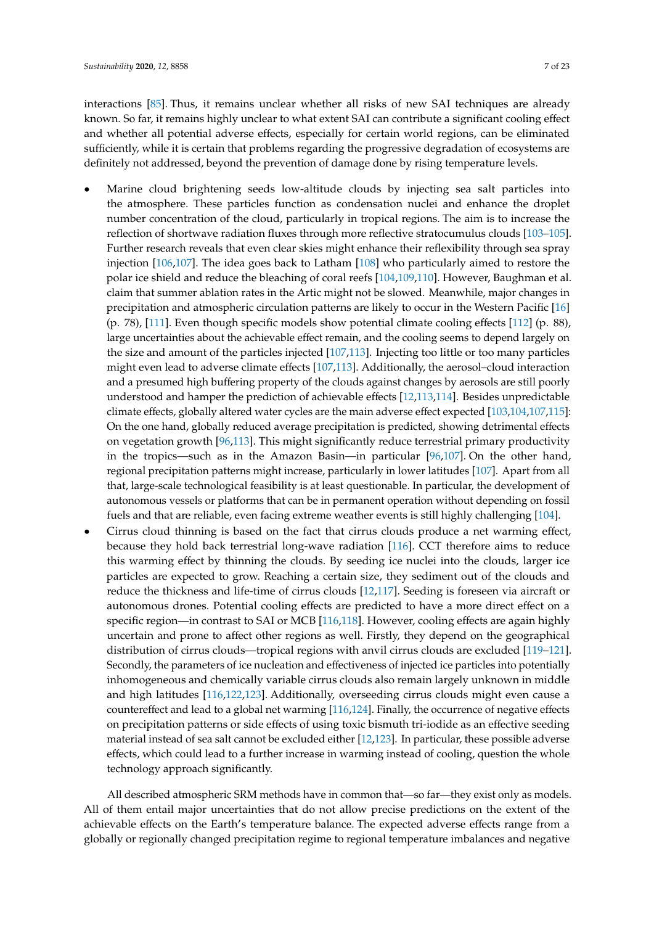interactions [\[85\]](#page-17-14). Thus, it remains unclear whether all risks of new SAI techniques are already known. So far, it remains highly unclear to what extent SAI can contribute a significant cooling effect and whether all potential adverse effects, especially for certain world regions, can be eliminated sufficiently, while it is certain that problems regarding the progressive degradation of ecosystems are definitely not addressed, beyond the prevention of damage done by rising temperature levels.

- Marine cloud brightening seeds low-altitude clouds by injecting sea salt particles into the atmosphere. These particles function as condensation nuclei and enhance the droplet number concentration of the cloud, particularly in tropical regions. The aim is to increase the reflection of shortwave radiation fluxes through more reflective stratocumulus clouds [\[103–](#page-18-7)[105\]](#page-18-8). Further research reveals that even clear skies might enhance their reflexibility through sea spray injection [\[106,](#page-18-9)[107\]](#page-18-10). The idea goes back to Latham [\[108\]](#page-18-11) who particularly aimed to restore the polar ice shield and reduce the bleaching of coral reefs [\[104](#page-18-12)[,109](#page-18-13)[,110\]](#page-18-14). However, Baughman et al. claim that summer ablation rates in the Artic might not be slowed. Meanwhile, major changes in precipitation and atmospheric circulation patterns are likely to occur in the Western Pacific [\[16\]](#page-14-10) (p. 78), [\[111\]](#page-19-0). Even though specific models show potential climate cooling effects [\[112\]](#page-19-1) (p. 88), large uncertainties about the achievable effect remain, and the cooling seems to depend largely on the size and amount of the particles injected [\[107](#page-18-10)[,113\]](#page-19-2). Injecting too little or too many particles might even lead to adverse climate effects [\[107](#page-18-10)[,113\]](#page-19-2). Additionally, the aerosol–cloud interaction and a presumed high buffering property of the clouds against changes by aerosols are still poorly understood and hamper the prediction of achievable effects [\[12](#page-14-6)[,113](#page-19-2)[,114\]](#page-19-3). Besides unpredictable climate effects, globally altered water cycles are the main adverse effect expected [\[103,](#page-18-7)[104,](#page-18-12)[107](#page-18-10)[,115\]](#page-19-4): On the one hand, globally reduced average precipitation is predicted, showing detrimental effects on vegetation growth [\[96,](#page-18-15)[113\]](#page-19-2). This might significantly reduce terrestrial primary productivity in the tropics—such as in the Amazon Basin—in particular [\[96,](#page-18-15)[107\]](#page-18-10). On the other hand, regional precipitation patterns might increase, particularly in lower latitudes [\[107\]](#page-18-10). Apart from all that, large-scale technological feasibility is at least questionable. In particular, the development of autonomous vessels or platforms that can be in permanent operation without depending on fossil fuels and that are reliable, even facing extreme weather events is still highly challenging [\[104\]](#page-18-12).
- Cirrus cloud thinning is based on the fact that cirrus clouds produce a net warming effect, because they hold back terrestrial long-wave radiation [\[116\]](#page-19-5). CCT therefore aims to reduce this warming effect by thinning the clouds. By seeding ice nuclei into the clouds, larger ice particles are expected to grow. Reaching a certain size, they sediment out of the clouds and reduce the thickness and life-time of cirrus clouds [\[12](#page-14-6)[,117\]](#page-19-6). Seeding is foreseen via aircraft or autonomous drones. Potential cooling effects are predicted to have a more direct effect on a specific region—in contrast to SAI or MCB [\[116](#page-19-5)[,118\]](#page-19-7). However, cooling effects are again highly uncertain and prone to affect other regions as well. Firstly, they depend on the geographical distribution of cirrus clouds—tropical regions with anvil cirrus clouds are excluded [\[119–](#page-19-8)[121\]](#page-19-9). Secondly, the parameters of ice nucleation and effectiveness of injected ice particles into potentially inhomogeneous and chemically variable cirrus clouds also remain largely unknown in middle and high latitudes [\[116,](#page-19-5)[122](#page-19-10)[,123\]](#page-19-11). Additionally, overseeding cirrus clouds might even cause a countereffect and lead to a global net warming [\[116,](#page-19-5)[124\]](#page-19-12). Finally, the occurrence of negative effects on precipitation patterns or side effects of using toxic bismuth tri-iodide as an effective seeding material instead of sea salt cannot be excluded either [\[12](#page-14-6)[,123\]](#page-19-11). In particular, these possible adverse effects, which could lead to a further increase in warming instead of cooling, question the whole technology approach significantly.

All described atmospheric SRM methods have in common that—so far—they exist only as models. All of them entail major uncertainties that do not allow precise predictions on the extent of the achievable effects on the Earth's temperature balance. The expected adverse effects range from a globally or regionally changed precipitation regime to regional temperature imbalances and negative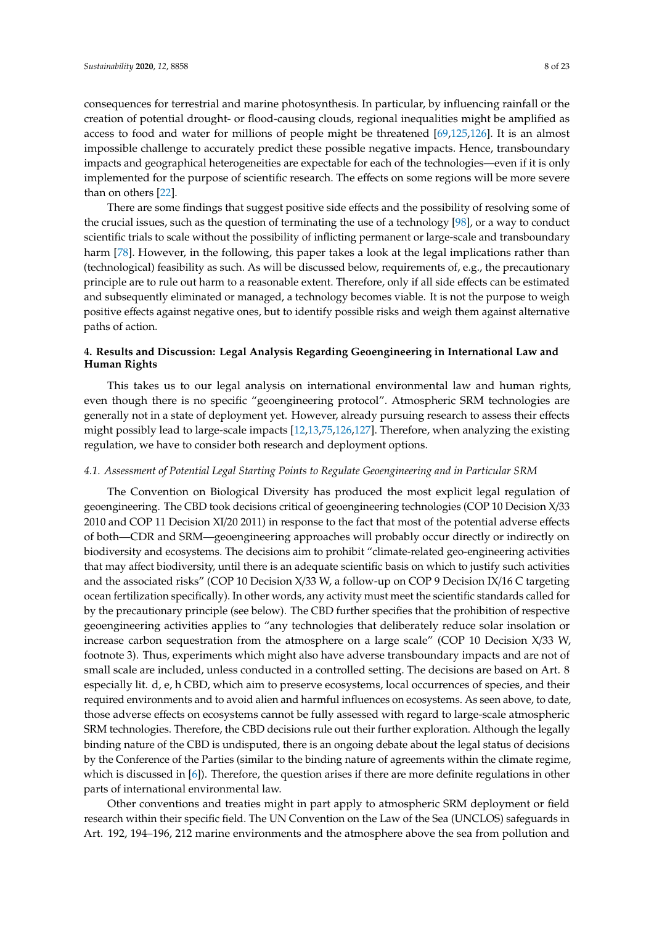consequences for terrestrial and marine photosynthesis. In particular, by influencing rainfall or the creation of potential drought- or flood-causing clouds, regional inequalities might be amplified as access to food and water for millions of people might be threatened [\[69,](#page-17-1)[125,](#page-19-13)[126\]](#page-19-14). It is an almost impossible challenge to accurately predict these possible negative impacts. Hence, transboundary impacts and geographical heterogeneities are expectable for each of the technologies—even if it is only implemented for the purpose of scientific research. The effects on some regions will be more severe than on others [\[22\]](#page-14-16).

There are some findings that suggest positive side effects and the possibility of resolving some of the crucial issues, such as the question of terminating the use of a technology [\[98\]](#page-18-4), or a way to conduct scientific trials to scale without the possibility of inflicting permanent or large-scale and transboundary harm [\[78\]](#page-17-10). However, in the following, this paper takes a look at the legal implications rather than (technological) feasibility as such. As will be discussed below, requirements of, e.g., the precautionary principle are to rule out harm to a reasonable extent. Therefore, only if all side effects can be estimated and subsequently eliminated or managed, a technology becomes viable. It is not the purpose to weigh positive effects against negative ones, but to identify possible risks and weigh them against alternative paths of action.

# **4. Results and Discussion: Legal Analysis Regarding Geoengineering in International Law and Human Rights**

This takes us to our legal analysis on international environmental law and human rights, even though there is no specific "geoengineering protocol". Atmospheric SRM technologies are generally not in a state of deployment yet. However, already pursuing research to assess their effects might possibly lead to large-scale impacts [\[12](#page-14-6)[,13](#page-14-7)[,75,](#page-17-7)[126,](#page-19-14)[127\]](#page-19-15). Therefore, when analyzing the existing regulation, we have to consider both research and deployment options.

## *4.1. Assessment of Potential Legal Starting Points to Regulate Geoengineering and in Particular SRM*

The Convention on Biological Diversity has produced the most explicit legal regulation of geoengineering. The CBD took decisions critical of geoengineering technologies (COP 10 Decision X/33 2010 and COP 11 Decision XI/20 2011) in response to the fact that most of the potential adverse effects of both—CDR and SRM—geoengineering approaches will probably occur directly or indirectly on biodiversity and ecosystems. The decisions aim to prohibit "climate-related geo-engineering activities that may affect biodiversity, until there is an adequate scientific basis on which to justify such activities and the associated risks" (COP 10 Decision X/33 W, a follow-up on COP 9 Decision IX/16 C targeting ocean fertilization specifically). In other words, any activity must meet the scientific standards called for by the precautionary principle (see below). The CBD further specifies that the prohibition of respective geoengineering activities applies to "any technologies that deliberately reduce solar insolation or increase carbon sequestration from the atmosphere on a large scale" (COP 10 Decision X/33 W, footnote 3). Thus, experiments which might also have adverse transboundary impacts and are not of small scale are included, unless conducted in a controlled setting. The decisions are based on Art. 8 especially lit. d, e, h CBD, which aim to preserve ecosystems, local occurrences of species, and their required environments and to avoid alien and harmful influences on ecosystems. As seen above, to date, those adverse effects on ecosystems cannot be fully assessed with regard to large-scale atmospheric SRM technologies. Therefore, the CBD decisions rule out their further exploration. Although the legally binding nature of the CBD is undisputed, there is an ongoing debate about the legal status of decisions by the Conference of the Parties (similar to the binding nature of agreements within the climate regime, which is discussed in [\[6\]](#page-14-17)). Therefore, the question arises if there are more definite regulations in other parts of international environmental law.

Other conventions and treaties might in part apply to atmospheric SRM deployment or field research within their specific field. The UN Convention on the Law of the Sea (UNCLOS) safeguards in Art. 192, 194–196, 212 marine environments and the atmosphere above the sea from pollution and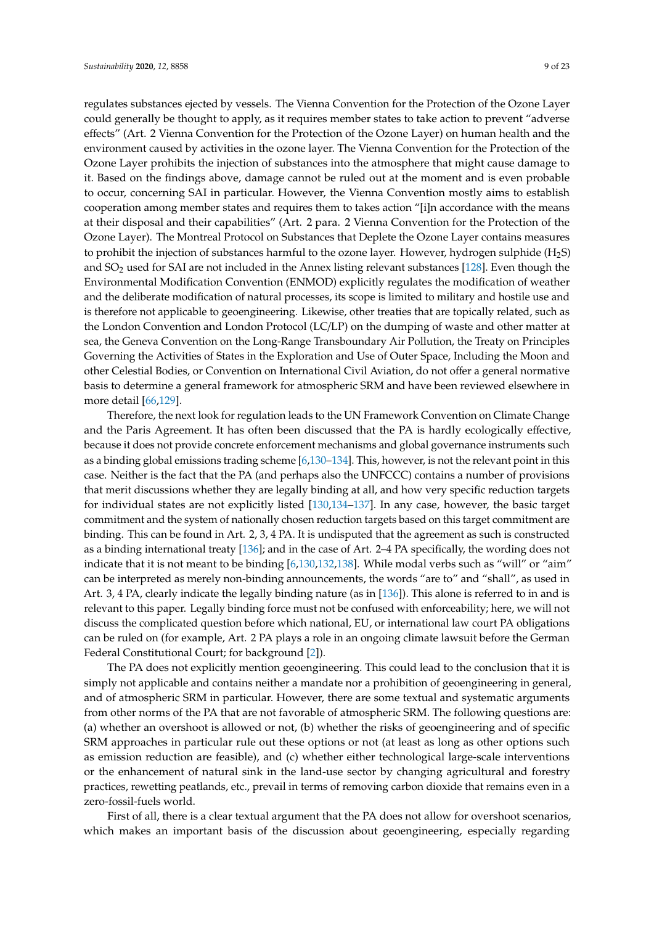regulates substances ejected by vessels. The Vienna Convention for the Protection of the Ozone Layer could generally be thought to apply, as it requires member states to take action to prevent "adverse effects" (Art. 2 Vienna Convention for the Protection of the Ozone Layer) on human health and the environment caused by activities in the ozone layer. The Vienna Convention for the Protection of the Ozone Layer prohibits the injection of substances into the atmosphere that might cause damage to it. Based on the findings above, damage cannot be ruled out at the moment and is even probable to occur, concerning SAI in particular. However, the Vienna Convention mostly aims to establish cooperation among member states and requires them to takes action "[i]n accordance with the means at their disposal and their capabilities" (Art. 2 para. 2 Vienna Convention for the Protection of the Ozone Layer). The Montreal Protocol on Substances that Deplete the Ozone Layer contains measures to prohibit the injection of substances harmful to the ozone layer. However, hydrogen sulphide  $(H_2S)$ and  $SO_2$  used for SAI are not included in the Annex listing relevant substances [\[128\]](#page-19-16). Even though the Environmental Modification Convention (ENMOD) explicitly regulates the modification of weather and the deliberate modification of natural processes, its scope is limited to military and hostile use and is therefore not applicable to geoengineering. Likewise, other treaties that are topically related, such as the London Convention and London Protocol (LC/LP) on the dumping of waste and other matter at sea, the Geneva Convention on the Long-Range Transboundary Air Pollution, the Treaty on Principles Governing the Activities of States in the Exploration and Use of Outer Space, Including the Moon and other Celestial Bodies, or Convention on International Civil Aviation, do not offer a general normative basis to determine a general framework for atmospheric SRM and have been reviewed elsewhere in more detail [\[66](#page-17-0)[,129\]](#page-19-17).

Therefore, the next look for regulation leads to the UN Framework Convention on Climate Change and the Paris Agreement. It has often been discussed that the PA is hardly ecologically effective, because it does not provide concrete enforcement mechanisms and global governance instruments such as a binding global emissions trading scheme [\[6,](#page-14-17)[130](#page-19-18)[–134\]](#page-19-19). This, however, is not the relevant point in this case. Neither is the fact that the PA (and perhaps also the UNFCCC) contains a number of provisions that merit discussions whether they are legally binding at all, and how very specific reduction targets for individual states are not explicitly listed [\[130,](#page-19-18)[134–](#page-19-19)[137\]](#page-20-0). In any case, however, the basic target commitment and the system of nationally chosen reduction targets based on this target commitment are binding. This can be found in Art. 2, 3, 4 PA. It is undisputed that the agreement as such is constructed as a binding international treaty [\[136\]](#page-20-1); and in the case of Art. 2–4 PA specifically, the wording does not indicate that it is not meant to be binding [\[6](#page-14-17)[,130](#page-19-18)[,132](#page-19-20)[,138\]](#page-20-2). While modal verbs such as "will" or "aim" can be interpreted as merely non-binding announcements, the words "are to" and "shall", as used in Art. 3, 4 PA, clearly indicate the legally binding nature (as in [\[136\]](#page-20-1)). This alone is referred to in and is relevant to this paper. Legally binding force must not be confused with enforceability; here, we will not discuss the complicated question before which national, EU, or international law court PA obligations can be ruled on (for example, Art. 2 PA plays a role in an ongoing climate lawsuit before the German Federal Constitutional Court; for background [\[2\]](#page-13-1)).

The PA does not explicitly mention geoengineering. This could lead to the conclusion that it is simply not applicable and contains neither a mandate nor a prohibition of geoengineering in general, and of atmospheric SRM in particular. However, there are some textual and systematic arguments from other norms of the PA that are not favorable of atmospheric SRM. The following questions are: (a) whether an overshoot is allowed or not, (b) whether the risks of geoengineering and of specific SRM approaches in particular rule out these options or not (at least as long as other options such as emission reduction are feasible), and (c) whether either technological large-scale interventions or the enhancement of natural sink in the land-use sector by changing agricultural and forestry practices, rewetting peatlands, etc., prevail in terms of removing carbon dioxide that remains even in a zero-fossil-fuels world.

First of all, there is a clear textual argument that the PA does not allow for overshoot scenarios, which makes an important basis of the discussion about geoengineering, especially regarding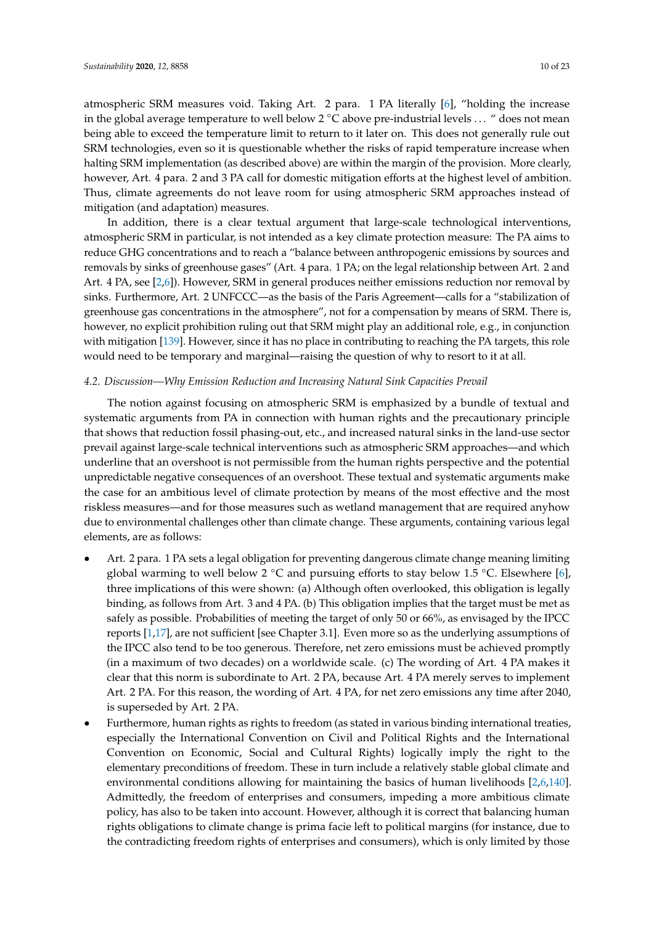atmospheric SRM measures void. Taking Art. 2 para. 1 PA literally [\[6\]](#page-14-17), "holding the increase in the global average temperature to well below  $2 °C$  above pre-industrial levels . . . " does not mean being able to exceed the temperature limit to return to it later on. This does not generally rule out SRM technologies, even so it is questionable whether the risks of rapid temperature increase when halting SRM implementation (as described above) are within the margin of the provision. More clearly, however, Art. 4 para. 2 and 3 PA call for domestic mitigation efforts at the highest level of ambition. Thus, climate agreements do not leave room for using atmospheric SRM approaches instead of mitigation (and adaptation) measures.

In addition, there is a clear textual argument that large-scale technological interventions, atmospheric SRM in particular, is not intended as a key climate protection measure: The PA aims to reduce GHG concentrations and to reach a "balance between anthropogenic emissions by sources and removals by sinks of greenhouse gases" (Art. 4 para. 1 PA; on the legal relationship between Art. 2 and Art. 4 PA, see [\[2](#page-13-1)[,6\]](#page-14-17)). However, SRM in general produces neither emissions reduction nor removal by sinks. Furthermore, Art. 2 UNFCCC—as the basis of the Paris Agreement—calls for a "stabilization of greenhouse gas concentrations in the atmosphere", not for a compensation by means of SRM. There is, however, no explicit prohibition ruling out that SRM might play an additional role, e.g., in conjunction with mitigation [\[139\]](#page-20-3). However, since it has no place in contributing to reaching the PA targets, this role would need to be temporary and marginal—raising the question of why to resort to it at all.

#### *4.2. Discussion—Why Emission Reduction and Increasing Natural Sink Capacities Prevail*

The notion against focusing on atmospheric SRM is emphasized by a bundle of textual and systematic arguments from PA in connection with human rights and the precautionary principle that shows that reduction fossil phasing-out, etc., and increased natural sinks in the land-use sector prevail against large-scale technical interventions such as atmospheric SRM approaches—and which underline that an overshoot is not permissible from the human rights perspective and the potential unpredictable negative consequences of an overshoot. These textual and systematic arguments make the case for an ambitious level of climate protection by means of the most effective and the most riskless measures—and for those measures such as wetland management that are required anyhow due to environmental challenges other than climate change. These arguments, containing various legal elements, are as follows:

- Art. 2 para. 1 PA sets a legal obligation for preventing dangerous climate change meaning limiting global warming to well below 2 °C and pursuing efforts to stay below 1.5 °C. Elsewhere [\[6\]](#page-14-17), three implications of this were shown: (a) Although often overlooked, this obligation is legally binding, as follows from Art. 3 and 4 PA. (b) This obligation implies that the target must be met as safely as possible. Probabilities of meeting the target of only 50 or 66%, as envisaged by the IPCC reports [\[1](#page-13-0)[,17\]](#page-14-11), are not sufficient [see Chapter 3.1]. Even more so as the underlying assumptions of the IPCC also tend to be too generous. Therefore, net zero emissions must be achieved promptly (in a maximum of two decades) on a worldwide scale. (c) The wording of Art. 4 PA makes it clear that this norm is subordinate to Art. 2 PA, because Art. 4 PA merely serves to implement Art. 2 PA. For this reason, the wording of Art. 4 PA, for net zero emissions any time after 2040, is superseded by Art. 2 PA.
- Furthermore, human rights as rights to freedom (as stated in various binding international treaties, especially the International Convention on Civil and Political Rights and the International Convention on Economic, Social and Cultural Rights) logically imply the right to the elementary preconditions of freedom. These in turn include a relatively stable global climate and environmental conditions allowing for maintaining the basics of human livelihoods [\[2,](#page-13-1)[6,](#page-14-17)[140\]](#page-20-4). Admittedly, the freedom of enterprises and consumers, impeding a more ambitious climate policy, has also to be taken into account. However, although it is correct that balancing human rights obligations to climate change is prima facie left to political margins (for instance, due to the contradicting freedom rights of enterprises and consumers), which is only limited by those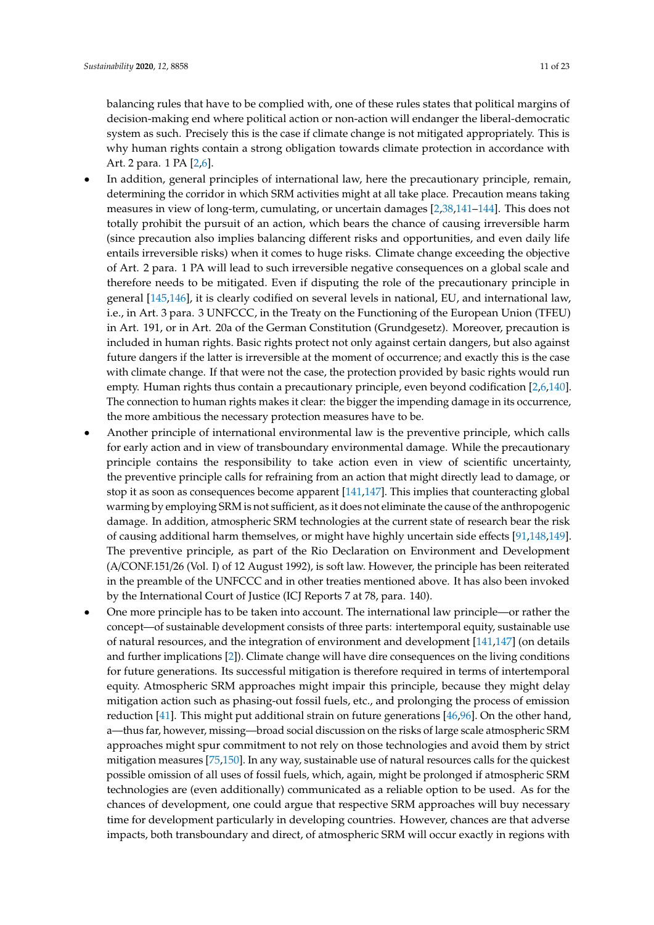balancing rules that have to be complied with, one of these rules states that political margins of decision-making end where political action or non-action will endanger the liberal-democratic system as such. Precisely this is the case if climate change is not mitigated appropriately. This is why human rights contain a strong obligation towards climate protection in accordance with Art. 2 para. 1 PA [\[2](#page-13-1)[,6\]](#page-14-17).

- In addition, general principles of international law, here the precautionary principle, remain, determining the corridor in which SRM activities might at all take place. Precaution means taking measures in view of long-term, cumulating, or uncertain damages [\[2,](#page-13-1)[38,](#page-15-5)[141](#page-20-5)[–144\]](#page-20-6). This does not totally prohibit the pursuit of an action, which bears the chance of causing irreversible harm (since precaution also implies balancing different risks and opportunities, and even daily life entails irreversible risks) when it comes to huge risks. Climate change exceeding the objective of Art. 2 para. 1 PA will lead to such irreversible negative consequences on a global scale and therefore needs to be mitigated. Even if disputing the role of the precautionary principle in general [\[145](#page-20-7)[,146\]](#page-20-8), it is clearly codified on several levels in national, EU, and international law, i.e., in Art. 3 para. 3 UNFCCC, in the Treaty on the Functioning of the European Union (TFEU) in Art. 191, or in Art. 20a of the German Constitution (Grundgesetz). Moreover, precaution is included in human rights. Basic rights protect not only against certain dangers, but also against future dangers if the latter is irreversible at the moment of occurrence; and exactly this is the case with climate change. If that were not the case, the protection provided by basic rights would run empty. Human rights thus contain a precautionary principle, even beyond codification [\[2](#page-13-1)[,6,](#page-14-17)[140\]](#page-20-4). The connection to human rights makes it clear: the bigger the impending damage in its occurrence, the more ambitious the necessary protection measures have to be.
- Another principle of international environmental law is the preventive principle, which calls for early action and in view of transboundary environmental damage. While the precautionary principle contains the responsibility to take action even in view of scientific uncertainty, the preventive principle calls for refraining from an action that might directly lead to damage, or stop it as soon as consequences become apparent [\[141,](#page-20-5)[147\]](#page-20-9). This implies that counteracting global warming by employing SRM is not sufficient, as it does not eliminate the cause of the anthropogenic damage. In addition, atmospheric SRM technologies at the current state of research bear the risk of causing additional harm themselves, or might have highly uncertain side effects [\[91,](#page-18-16)[148,](#page-20-10)[149\]](#page-20-11). The preventive principle, as part of the Rio Declaration on Environment and Development (A/CONF.151/26 (Vol. I) of 12 August 1992), is soft law. However, the principle has been reiterated in the preamble of the UNFCCC and in other treaties mentioned above. It has also been invoked by the International Court of Justice (ICJ Reports 7 at 78, para. 140).
- One more principle has to be taken into account. The international law principle—or rather the concept—of sustainable development consists of three parts: intertemporal equity, sustainable use of natural resources, and the integration of environment and development [\[141,](#page-20-5)[147\]](#page-20-9) (on details and further implications [\[2\]](#page-13-1)). Climate change will have dire consequences on the living conditions for future generations. Its successful mitigation is therefore required in terms of intertemporal equity. Atmospheric SRM approaches might impair this principle, because they might delay mitigation action such as phasing-out fossil fuels, etc., and prolonging the process of emission reduction [\[41\]](#page-15-6). This might put additional strain on future generations [\[46,](#page-15-10)[96\]](#page-18-15). On the other hand, a—thus far, however, missing—broad social discussion on the risks of large scale atmospheric SRM approaches might spur commitment to not rely on those technologies and avoid them by strict mitigation measures [\[75](#page-17-7)[,150\]](#page-20-12). In any way, sustainable use of natural resources calls for the quickest possible omission of all uses of fossil fuels, which, again, might be prolonged if atmospheric SRM technologies are (even additionally) communicated as a reliable option to be used. As for the chances of development, one could argue that respective SRM approaches will buy necessary time for development particularly in developing countries. However, chances are that adverse impacts, both transboundary and direct, of atmospheric SRM will occur exactly in regions with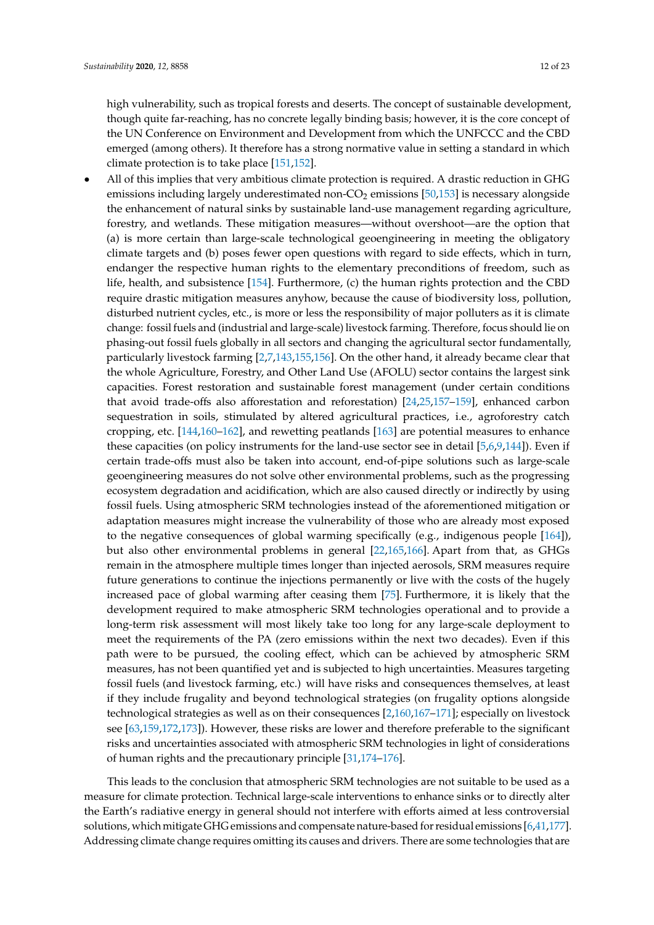high vulnerability, such as tropical forests and deserts. The concept of sustainable development, though quite far-reaching, has no concrete legally binding basis; however, it is the core concept of the UN Conference on Environment and Development from which the UNFCCC and the CBD emerged (among others). It therefore has a strong normative value in setting a standard in which climate protection is to take place [\[151](#page-20-13)[,152\]](#page-20-14).

• All of this implies that very ambitious climate protection is required. A drastic reduction in GHG emissions including largely underestimated non- $CO<sub>2</sub>$  emissions [\[50](#page-16-3)[,153\]](#page-20-15) is necessary alongside the enhancement of natural sinks by sustainable land-use management regarding agriculture, forestry, and wetlands. These mitigation measures—without overshoot—are the option that (a) is more certain than large-scale technological geoengineering in meeting the obligatory climate targets and (b) poses fewer open questions with regard to side effects, which in turn, endanger the respective human rights to the elementary preconditions of freedom, such as life, health, and subsistence [\[154\]](#page-20-16). Furthermore, (c) the human rights protection and the CBD require drastic mitigation measures anyhow, because the cause of biodiversity loss, pollution, disturbed nutrient cycles, etc., is more or less the responsibility of major polluters as it is climate change: fossil fuels and (industrial and large-scale) livestock farming. Therefore, focus should lie on phasing-out fossil fuels globally in all sectors and changing the agricultural sector fundamentally, particularly livestock farming [\[2](#page-13-1)[,7](#page-14-3)[,143](#page-20-17)[,155](#page-20-18)[,156\]](#page-20-19). On the other hand, it already became clear that the whole Agriculture, Forestry, and Other Land Use (AFOLU) sector contains the largest sink capacities. Forest restoration and sustainable forest management (under certain conditions that avoid trade-offs also afforestation and reforestation) [\[24,](#page-15-1)[25](#page-15-13)[,157](#page-20-20)[–159\]](#page-20-21), enhanced carbon sequestration in soils, stimulated by altered agricultural practices, i.e., agroforestry catch cropping, etc. [\[144,](#page-20-6)[160–](#page-20-22)[162\]](#page-21-0), and rewetting peatlands [\[163\]](#page-21-1) are potential measures to enhance these capacities (on policy instruments for the land-use sector see in detail [\[5](#page-14-2)[,6](#page-14-17)[,9](#page-14-18)[,144\]](#page-20-6)). Even if certain trade-offs must also be taken into account, end-of-pipe solutions such as large-scale geoengineering measures do not solve other environmental problems, such as the progressing ecosystem degradation and acidification, which are also caused directly or indirectly by using fossil fuels. Using atmospheric SRM technologies instead of the aforementioned mitigation or adaptation measures might increase the vulnerability of those who are already most exposed to the negative consequences of global warming specifically (e.g., indigenous people [\[164\]](#page-21-2)), but also other environmental problems in general [\[22](#page-14-16)[,165](#page-21-3)[,166\]](#page-21-4). Apart from that, as GHGs remain in the atmosphere multiple times longer than injected aerosols, SRM measures require future generations to continue the injections permanently or live with the costs of the hugely increased pace of global warming after ceasing them [\[75\]](#page-17-7). Furthermore, it is likely that the development required to make atmospheric SRM technologies operational and to provide a long-term risk assessment will most likely take too long for any large-scale deployment to meet the requirements of the PA (zero emissions within the next two decades). Even if this path were to be pursued, the cooling effect, which can be achieved by atmospheric SRM measures, has not been quantified yet and is subjected to high uncertainties. Measures targeting fossil fuels (and livestock farming, etc.) will have risks and consequences themselves, at least if they include frugality and beyond technological strategies (on frugality options alongside technological strategies as well as on their consequences [\[2,](#page-13-1)[160,](#page-20-22)[167–](#page-21-5)[171\]](#page-21-6); especially on livestock see [\[63](#page-16-13)[,159](#page-20-21)[,172](#page-21-7)[,173\]](#page-21-8)). However, these risks are lower and therefore preferable to the significant risks and uncertainties associated with atmospheric SRM technologies in light of considerations of human rights and the precautionary principle [\[31](#page-15-11)[,174](#page-21-9)[–176\]](#page-21-10).

This leads to the conclusion that atmospheric SRM technologies are not suitable to be used as a measure for climate protection. Technical large-scale interventions to enhance sinks or to directly alter the Earth's radiative energy in general should not interfere with efforts aimed at less controversial solutions, which mitigate GHG emissions and compensate nature-based for residual emissions [\[6](#page-14-17)[,41](#page-15-6)[,177\]](#page-21-11). Addressing climate change requires omitting its causes and drivers. There are some technologies that are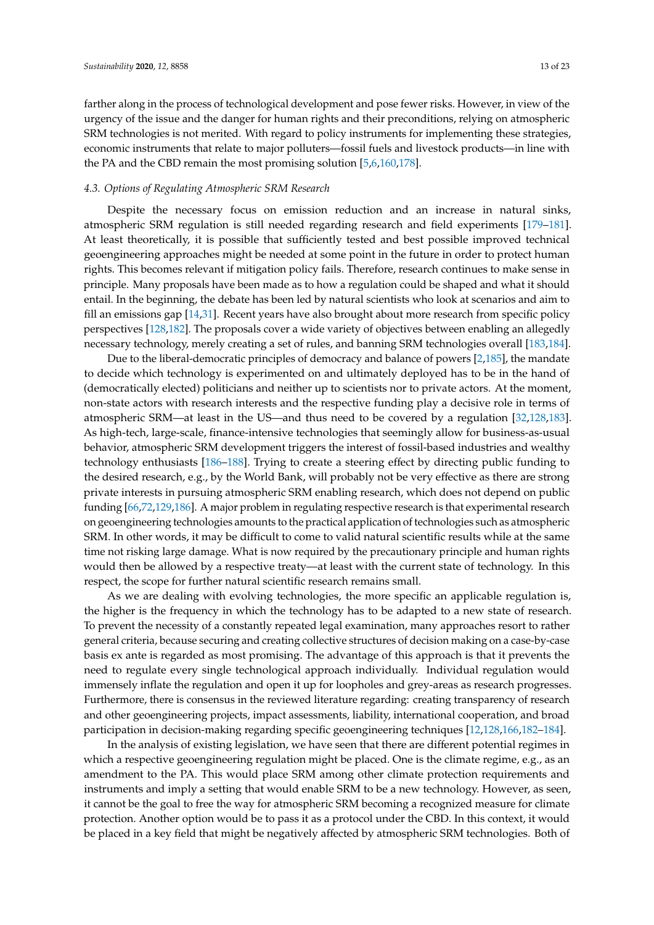farther along in the process of technological development and pose fewer risks. However, in view of the urgency of the issue and the danger for human rights and their preconditions, relying on atmospheric SRM technologies is not merited. With regard to policy instruments for implementing these strategies, economic instruments that relate to major polluters—fossil fuels and livestock products—in line with the PA and the CBD remain the most promising solution [\[5](#page-14-2)[,6,](#page-14-17)[160,](#page-20-22)[178\]](#page-21-12).

## *4.3. Options of Regulating Atmospheric SRM Research*

Despite the necessary focus on emission reduction and an increase in natural sinks, atmospheric SRM regulation is still needed regarding research and field experiments [\[179–](#page-21-13)[181\]](#page-21-14). At least theoretically, it is possible that sufficiently tested and best possible improved technical geoengineering approaches might be needed at some point in the future in order to protect human rights. This becomes relevant if mitigation policy fails. Therefore, research continues to make sense in principle. Many proposals have been made as to how a regulation could be shaped and what it should entail. In the beginning, the debate has been led by natural scientists who look at scenarios and aim to fill an emissions gap [\[14,](#page-14-8)[31\]](#page-15-11). Recent years have also brought about more research from specific policy perspectives [\[128](#page-19-16)[,182\]](#page-21-15). The proposals cover a wide variety of objectives between enabling an allegedly necessary technology, merely creating a set of rules, and banning SRM technologies overall [\[183,](#page-21-16)[184\]](#page-21-17).

Due to the liberal-democratic principles of democracy and balance of powers [\[2](#page-13-1)[,185\]](#page-21-18), the mandate to decide which technology is experimented on and ultimately deployed has to be in the hand of (democratically elected) politicians and neither up to scientists nor to private actors. At the moment, non-state actors with research interests and the respective funding play a decisive role in terms of atmospheric SRM—at least in the US—and thus need to be covered by a regulation [\[32,](#page-15-14)[128,](#page-19-16)[183\]](#page-21-16). As high-tech, large-scale, finance-intensive technologies that seemingly allow for business-as-usual behavior, atmospheric SRM development triggers the interest of fossil-based industries and wealthy technology enthusiasts [\[186–](#page-21-19)[188\]](#page-22-0). Trying to create a steering effect by directing public funding to the desired research, e.g., by the World Bank, will probably not be very effective as there are strong private interests in pursuing atmospheric SRM enabling research, which does not depend on public funding [\[66](#page-17-0)[,72](#page-17-4)[,129](#page-19-17)[,186\]](#page-21-19). A major problem in regulating respective research is that experimental research on geoengineering technologies amounts to the practical application of technologies such as atmospheric SRM. In other words, it may be difficult to come to valid natural scientific results while at the same time not risking large damage. What is now required by the precautionary principle and human rights would then be allowed by a respective treaty—at least with the current state of technology. In this respect, the scope for further natural scientific research remains small.

As we are dealing with evolving technologies, the more specific an applicable regulation is, the higher is the frequency in which the technology has to be adapted to a new state of research. To prevent the necessity of a constantly repeated legal examination, many approaches resort to rather general criteria, because securing and creating collective structures of decision making on a case-by-case basis ex ante is regarded as most promising. The advantage of this approach is that it prevents the need to regulate every single technological approach individually. Individual regulation would immensely inflate the regulation and open it up for loopholes and grey-areas as research progresses. Furthermore, there is consensus in the reviewed literature regarding: creating transparency of research and other geoengineering projects, impact assessments, liability, international cooperation, and broad participation in decision-making regarding specific geoengineering techniques [\[12](#page-14-6)[,128](#page-19-16)[,166](#page-21-4)[,182–](#page-21-15)[184\]](#page-21-17).

In the analysis of existing legislation, we have seen that there are different potential regimes in which a respective geoengineering regulation might be placed. One is the climate regime, e.g., as an amendment to the PA. This would place SRM among other climate protection requirements and instruments and imply a setting that would enable SRM to be a new technology. However, as seen, it cannot be the goal to free the way for atmospheric SRM becoming a recognized measure for climate protection. Another option would be to pass it as a protocol under the CBD. In this context, it would be placed in a key field that might be negatively affected by atmospheric SRM technologies. Both of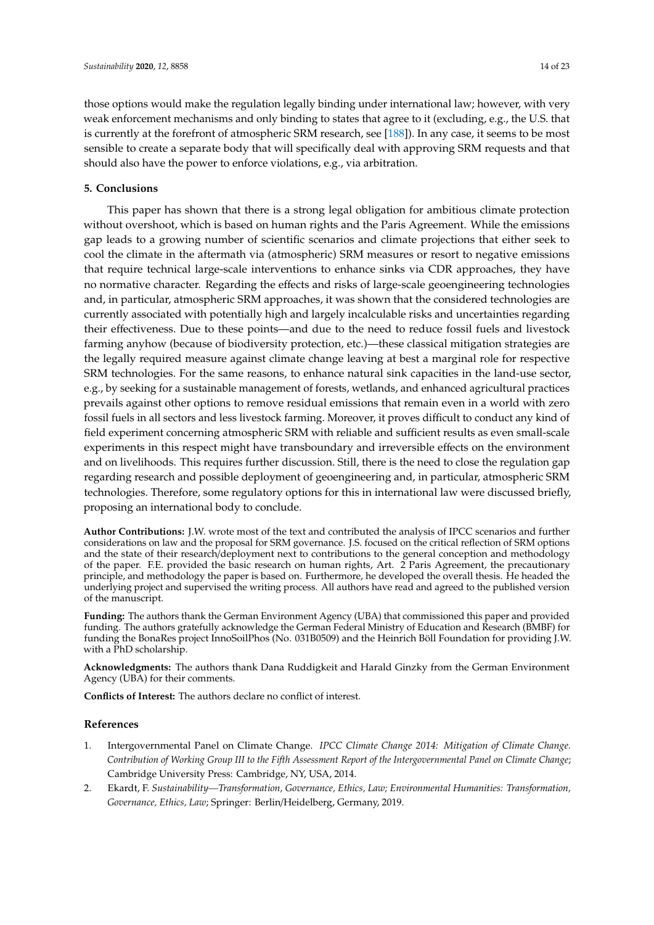those options would make the regulation legally binding under international law; however, with very weak enforcement mechanisms and only binding to states that agree to it (excluding, e.g., the U.S. that is currently at the forefront of atmospheric SRM research, see [\[188\]](#page-22-0)). In any case, it seems to be most sensible to create a separate body that will specifically deal with approving SRM requests and that should also have the power to enforce violations, e.g., via arbitration.

## **5. Conclusions**

This paper has shown that there is a strong legal obligation for ambitious climate protection without overshoot, which is based on human rights and the Paris Agreement. While the emissions gap leads to a growing number of scientific scenarios and climate projections that either seek to cool the climate in the aftermath via (atmospheric) SRM measures or resort to negative emissions that require technical large-scale interventions to enhance sinks via CDR approaches, they have no normative character. Regarding the effects and risks of large-scale geoengineering technologies and, in particular, atmospheric SRM approaches, it was shown that the considered technologies are currently associated with potentially high and largely incalculable risks and uncertainties regarding their effectiveness. Due to these points—and due to the need to reduce fossil fuels and livestock farming anyhow (because of biodiversity protection, etc.)—these classical mitigation strategies are the legally required measure against climate change leaving at best a marginal role for respective SRM technologies. For the same reasons, to enhance natural sink capacities in the land-use sector, e.g., by seeking for a sustainable management of forests, wetlands, and enhanced agricultural practices prevails against other options to remove residual emissions that remain even in a world with zero fossil fuels in all sectors and less livestock farming. Moreover, it proves difficult to conduct any kind of field experiment concerning atmospheric SRM with reliable and sufficient results as even small-scale experiments in this respect might have transboundary and irreversible effects on the environment and on livelihoods. This requires further discussion. Still, there is the need to close the regulation gap regarding research and possible deployment of geoengineering and, in particular, atmospheric SRM technologies. Therefore, some regulatory options for this in international law were discussed briefly, proposing an international body to conclude.

**Author Contributions:** J.W. wrote most of the text and contributed the analysis of IPCC scenarios and further considerations on law and the proposal for SRM governance. J.S. focused on the critical reflection of SRM options and the state of their research/deployment next to contributions to the general conception and methodology of the paper. F.E. provided the basic research on human rights, Art. 2 Paris Agreement, the precautionary principle, and methodology the paper is based on. Furthermore, he developed the overall thesis. He headed the underlying project and supervised the writing process. All authors have read and agreed to the published version of the manuscript.

**Funding:** The authors thank the German Environment Agency (UBA) that commissioned this paper and provided funding. The authors gratefully acknowledge the German Federal Ministry of Education and Research (BMBF) for funding the BonaRes project InnoSoilPhos (No. 031B0509) and the Heinrich Böll Foundation for providing J.W. with a PhD scholarship.

**Acknowledgments:** The authors thank Dana Ruddigkeit and Harald Ginzky from the German Environment Agency (UBA) for their comments.

**Conflicts of Interest:** The authors declare no conflict of interest.

## **References**

- <span id="page-13-0"></span>1. Intergovernmental Panel on Climate Change. *IPCC Climate Change 2014: Mitigation of Climate Change. Contribution of Working Group III to the Fifth Assessment Report of the Intergovernmental Panel on Climate Change*; Cambridge University Press: Cambridge, NY, USA, 2014.
- <span id="page-13-1"></span>2. Ekardt, F. *Sustainability—Transformation, Governance, Ethics, Law; Environmental Humanities: Transformation, Governance, Ethics, Law*; Springer: Berlin/Heidelberg, Germany, 2019.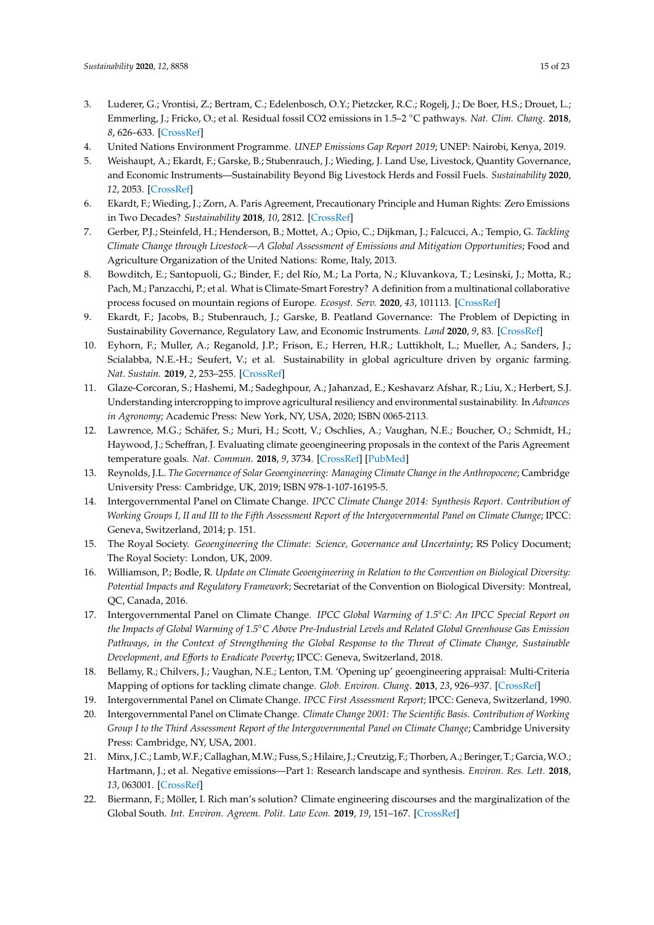- <span id="page-14-0"></span>3. Luderer, G.; Vrontisi, Z.; Bertram, C.; Edelenbosch, O.Y.; Pietzcker, R.C.; Rogelj, J.; De Boer, H.S.; Drouet, L.; Emmerling, J.; Fricko, O.; et al. Residual fossil CO2 emissions in 1.5–2 ◦C pathways. *Nat. Clim. Chang.* **2018**, *8*, 626–633. [\[CrossRef\]](http://dx.doi.org/10.1038/s41558-018-0198-6)
- <span id="page-14-1"></span>4. United Nations Environment Programme. *UNEP Emissions Gap Report 2019*; UNEP: Nairobi, Kenya, 2019.
- <span id="page-14-2"></span>5. Weishaupt, A.; Ekardt, F.; Garske, B.; Stubenrauch, J.; Wieding, J. Land Use, Livestock, Quantity Governance, and Economic Instruments—Sustainability Beyond Big Livestock Herds and Fossil Fuels. *Sustainability* **2020**, *12*, 2053. [\[CrossRef\]](http://dx.doi.org/10.3390/su12052053)
- <span id="page-14-17"></span>6. Ekardt, F.; Wieding, J.; Zorn, A. Paris Agreement, Precautionary Principle and Human Rights: Zero Emissions in Two Decades? *Sustainability* **2018**, *10*, 2812. [\[CrossRef\]](http://dx.doi.org/10.3390/su10082812)
- <span id="page-14-3"></span>7. Gerber, P.J.; Steinfeld, H.; Henderson, B.; Mottet, A.; Opio, C.; Dijkman, J.; Falcucci, A.; Tempio, G. *Tackling Climate Change through Livestock—A Global Assessment of Emissions and Mitigation Opportunities*; Food and Agriculture Organization of the United Nations: Rome, Italy, 2013.
- <span id="page-14-4"></span>8. Bowditch, E.; Santopuoli, G.; Binder, F.; del Río, M.; La Porta, N.; Kluvankova, T.; Lesinski, J.; Motta, R.; Pach, M.; Panzacchi, P.; et al. What is Climate-Smart Forestry? A definition from a multinational collaborative process focused on mountain regions of Europe. *Ecosyst. Serv.* **2020**, *43*, 101113. [\[CrossRef\]](http://dx.doi.org/10.1016/j.ecoser.2020.101113)
- <span id="page-14-18"></span>9. Ekardt, F.; Jacobs, B.; Stubenrauch, J.; Garske, B. Peatland Governance: The Problem of Depicting in Sustainability Governance, Regulatory Law, and Economic Instruments. *Land* **2020**, *9*, 83. [\[CrossRef\]](http://dx.doi.org/10.3390/land9030083)
- 10. Eyhorn, F.; Muller, A.; Reganold, J.P.; Frison, E.; Herren, H.R.; Luttikholt, L.; Mueller, A.; Sanders, J.; Scialabba, N.E.-H.; Seufert, V.; et al. Sustainability in global agriculture driven by organic farming. *Nat. Sustain.* **2019**, *2*, 253–255. [\[CrossRef\]](http://dx.doi.org/10.1038/s41893-019-0266-6)
- <span id="page-14-5"></span>11. Glaze-Corcoran, S.; Hashemi, M.; Sadeghpour, A.; Jahanzad, E.; Keshavarz Afshar, R.; Liu, X.; Herbert, S.J. Understanding intercropping to improve agricultural resiliency and environmental sustainability. In *Advances in Agronomy*; Academic Press: New York, NY, USA, 2020; ISBN 0065-2113.
- <span id="page-14-6"></span>12. Lawrence, M.G.; Schäfer, S.; Muri, H.; Scott, V.; Oschlies, A.; Vaughan, N.E.; Boucher, O.; Schmidt, H.; Haywood, J.; Scheffran, J. Evaluating climate geoengineering proposals in the context of the Paris Agreement temperature goals. *Nat. Commun.* **2018**, *9*, 3734. [\[CrossRef\]](http://dx.doi.org/10.1038/s41467-018-05938-3) [\[PubMed\]](http://www.ncbi.nlm.nih.gov/pubmed/30213930)
- <span id="page-14-7"></span>13. Reynolds, J.L. *The Governance of Solar Geoengineering: Managing Climate Change in the Anthropocene*; Cambridge University Press: Cambridge, UK, 2019; ISBN 978-1-107-16195-5.
- <span id="page-14-8"></span>14. Intergovernmental Panel on Climate Change. *IPCC Climate Change 2014: Synthesis Report. Contribution of Working Groups I, II and III to the Fifth Assessment Report of the Intergovernmental Panel on Climate Change*; IPCC: Geneva, Switzerland, 2014; p. 151.
- <span id="page-14-9"></span>15. The Royal Society. *Geoengineering the Climate: Science, Governance and Uncertainty*; RS Policy Document; The Royal Society: London, UK, 2009.
- <span id="page-14-10"></span>16. Williamson, P.; Bodle, R. *Update on Climate Geoengineering in Relation to the Convention on Biological Diversity: Potential Impacts and Regulatory Framework*; Secretariat of the Convention on Biological Diversity: Montreal, QC, Canada, 2016.
- <span id="page-14-11"></span>17. Intergovernmental Panel on Climate Change. *IPCC Global Warming of 1.5*◦*C: An IPCC Special Report on the Impacts of Global Warming of 1.5*◦*C Above Pre-Industrial Levels and Related Global Greenhouse Gas Emission Pathways, in the Context of Strengthening the Global Response to the Threat of Climate Change, Sustainable Development, and E*ff*orts to Eradicate Poverty*; IPCC: Geneva, Switzerland, 2018.
- <span id="page-14-12"></span>18. Bellamy, R.; Chilvers, J.; Vaughan, N.E.; Lenton, T.M. 'Opening up' geoengineering appraisal: Multi-Criteria Mapping of options for tackling climate change. *Glob. Environ. Chang.* **2013**, *23*, 926–937. [\[CrossRef\]](http://dx.doi.org/10.1016/j.gloenvcha.2013.07.011)
- <span id="page-14-13"></span>19. Intergovernmental Panel on Climate Change. *IPCC First Assessment Report*; IPCC: Geneva, Switzerland, 1990.
- <span id="page-14-14"></span>20. Intergovernmental Panel on Climate Change. *Climate Change 2001: The Scientific Basis. Contribution of Working Group I to the Third Assessment Report of the Intergovernmental Panel on Climate Change*; Cambridge University Press: Cambridge, NY, USA, 2001.
- <span id="page-14-15"></span>21. Minx, J.C.; Lamb,W.F.; Callaghan, M.W.; Fuss, S.; Hilaire, J.; Creutzig, F.; Thorben, A.; Beringer, T.; Garcia,W.O.; Hartmann, J.; et al. Negative emissions—Part 1: Research landscape and synthesis. *Environ. Res. Lett.* **2018**, *13*, 063001. [\[CrossRef\]](http://dx.doi.org/10.1088/1748-9326/aabf9b)
- <span id="page-14-16"></span>22. Biermann, F.; Möller, I. Rich man's solution? Climate engineering discourses and the marginalization of the Global South. *Int. Environ. Agreem. Polit. Law Econ.* **2019**, *19*, 151–167. [\[CrossRef\]](http://dx.doi.org/10.1007/s10784-019-09431-0)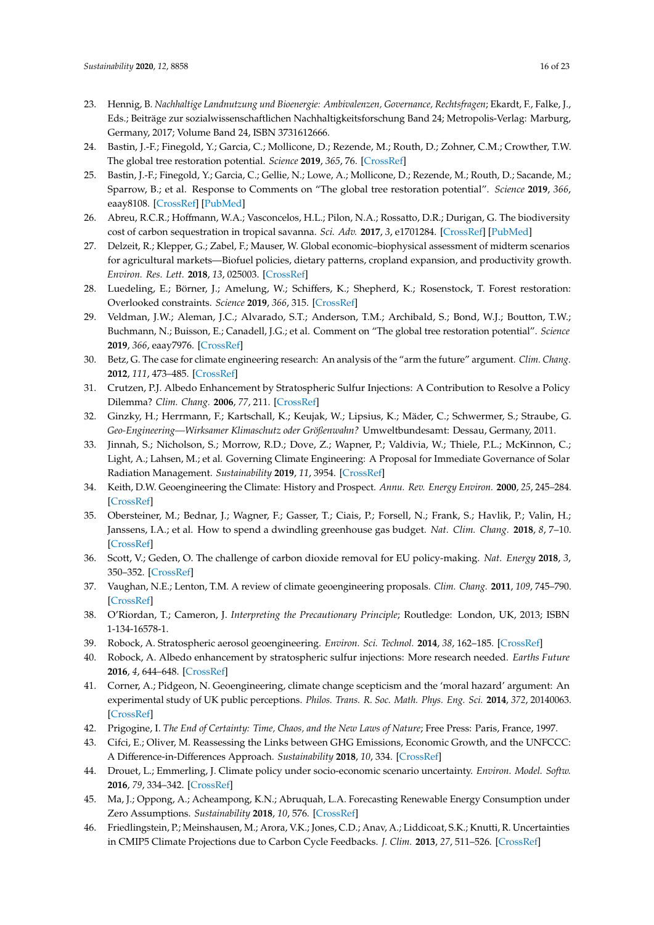- <span id="page-15-0"></span>23. Hennig, B. *Nachhaltige Landnutzung und Bioenergie: Ambivalenzen, Governance, Rechtsfragen*; Ekardt, F., Falke, J., Eds.; Beiträge zur sozialwissenschaftlichen Nachhaltigkeitsforschung Band 24; Metropolis-Verlag: Marburg, Germany, 2017; Volume Band 24, ISBN 3731612666.
- <span id="page-15-1"></span>24. Bastin, J.-F.; Finegold, Y.; Garcia, C.; Mollicone, D.; Rezende, M.; Routh, D.; Zohner, C.M.; Crowther, T.W. The global tree restoration potential. *Science* **2019**, *365*, 76. [\[CrossRef\]](http://dx.doi.org/10.1126/science.aax0848)
- <span id="page-15-13"></span>25. Bastin, J.-F.; Finegold, Y.; Garcia, C.; Gellie, N.; Lowe, A.; Mollicone, D.; Rezende, M.; Routh, D.; Sacande, M.; Sparrow, B.; et al. Response to Comments on "The global tree restoration potential". *Science* **2019**, *366*, eaay8108. [\[CrossRef\]](http://dx.doi.org/10.1126/science.aay8108) [\[PubMed\]](http://www.ncbi.nlm.nih.gov/pubmed/31624184)
- 26. Abreu, R.C.R.; Hoffmann, W.A.; Vasconcelos, H.L.; Pilon, N.A.; Rossatto, D.R.; Durigan, G. The biodiversity cost of carbon sequestration in tropical savanna. *Sci. Adv.* **2017**, *3*, e1701284. [\[CrossRef\]](http://dx.doi.org/10.1126/sciadv.1701284) [\[PubMed\]](http://www.ncbi.nlm.nih.gov/pubmed/28875172)
- 27. Delzeit, R.; Klepper, G.; Zabel, F.; Mauser, W. Global economic–biophysical assessment of midterm scenarios for agricultural markets—Biofuel policies, dietary patterns, cropland expansion, and productivity growth. *Environ. Res. Lett.* **2018**, *13*, 025003. [\[CrossRef\]](http://dx.doi.org/10.1088/1748-9326/aa9da2)
- 28. Luedeling, E.; Börner, J.; Amelung, W.; Schiffers, K.; Shepherd, K.; Rosenstock, T. Forest restoration: Overlooked constraints. *Science* **2019**, *366*, 315. [\[CrossRef\]](http://dx.doi.org/10.1126/science.aay7988)
- <span id="page-15-2"></span>29. Veldman, J.W.; Aleman, J.C.; Alvarado, S.T.; Anderson, T.M.; Archibald, S.; Bond, W.J.; Boutton, T.W.; Buchmann, N.; Buisson, E.; Canadell, J.G.; et al. Comment on "The global tree restoration potential". *Science* **2019**, *366*, eaay7976. [\[CrossRef\]](http://dx.doi.org/10.1126/science.aay7976)
- <span id="page-15-3"></span>30. Betz, G. The case for climate engineering research: An analysis of the "arm the future" argument. *Clim. Chang.* **2012**, *111*, 473–485. [\[CrossRef\]](http://dx.doi.org/10.1007/s10584-011-0207-5)
- <span id="page-15-11"></span>31. Crutzen, P.J. Albedo Enhancement by Stratospheric Sulfur Injections: A Contribution to Resolve a Policy Dilemma? *Clim. Chang.* **2006**, *77*, 211. [\[CrossRef\]](http://dx.doi.org/10.1007/s10584-006-9101-y)
- <span id="page-15-14"></span>32. Ginzky, H.; Herrmann, F.; Kartschall, K.; Keujak, W.; Lipsius, K.; Mäder, C.; Schwermer, S.; Straube, G. *Geo-Engineering—Wirksamer Klimaschutz oder Größenwahn?* Umweltbundesamt: Dessau, Germany, 2011.
- 33. Jinnah, S.; Nicholson, S.; Morrow, R.D.; Dove, Z.; Wapner, P.; Valdivia, W.; Thiele, P.L.; McKinnon, C.; Light, A.; Lahsen, M.; et al. Governing Climate Engineering: A Proposal for Immediate Governance of Solar Radiation Management. *Sustainability* **2019**, *11*, 3954. [\[CrossRef\]](http://dx.doi.org/10.3390/su11143954)
- 34. Keith, D.W. Geoengineering the Climate: History and Prospect. *Annu. Rev. Energy Environ.* **2000**, *25*, 245–284. [\[CrossRef\]](http://dx.doi.org/10.1146/annurev.energy.25.1.245)
- 35. Obersteiner, M.; Bednar, J.; Wagner, F.; Gasser, T.; Ciais, P.; Forsell, N.; Frank, S.; Havlik, P.; Valin, H.; Janssens, I.A.; et al. How to spend a dwindling greenhouse gas budget. *Nat. Clim. Chang.* **2018**, *8*, 7–10. [\[CrossRef\]](http://dx.doi.org/10.1038/s41558-017-0045-1)
- 36. Scott, V.; Geden, O. The challenge of carbon dioxide removal for EU policy-making. *Nat. Energy* **2018**, *3*, 350–352. [\[CrossRef\]](http://dx.doi.org/10.1038/s41560-018-0124-1)
- <span id="page-15-4"></span>37. Vaughan, N.E.; Lenton, T.M. A review of climate geoengineering proposals. *Clim. Chang.* **2011**, *109*, 745–790. [\[CrossRef\]](http://dx.doi.org/10.1007/s10584-011-0027-7)
- <span id="page-15-5"></span>38. O'Riordan, T.; Cameron, J. *Interpreting the Precautionary Principle*; Routledge: London, UK, 2013; ISBN 1-134-16578-1.
- <span id="page-15-12"></span>39. Robock, A. Stratospheric aerosol geoengineering. *Environ. Sci. Technol.* **2014**, *38*, 162–185. [\[CrossRef\]](http://dx.doi.org/10.1063/1.4916181)
- 40. Robock, A. Albedo enhancement by stratospheric sulfur injections: More research needed. *Earths Future* **2016**, *4*, 644–648. [\[CrossRef\]](http://dx.doi.org/10.1002/2016EF000407)
- <span id="page-15-6"></span>41. Corner, A.; Pidgeon, N. Geoengineering, climate change scepticism and the 'moral hazard' argument: An experimental study of UK public perceptions. *Philos. Trans. R. Soc. Math. Phys. Eng. Sci.* **2014**, *372*, 20140063. [\[CrossRef\]](http://dx.doi.org/10.1098/rsta.2014.0063)
- <span id="page-15-7"></span>42. Prigogine, I. *The End of Certainty: Time, Chaos, and the New Laws of Nature*; Free Press: Paris, France, 1997.
- <span id="page-15-8"></span>43. Cifci, E.; Oliver, M. Reassessing the Links between GHG Emissions, Economic Growth, and the UNFCCC: A Difference-in-Differences Approach. *Sustainability* **2018**, *10*, 334. [\[CrossRef\]](http://dx.doi.org/10.3390/su10020334)
- 44. Drouet, L.; Emmerling, J. Climate policy under socio-economic scenario uncertainty. *Environ. Model. Softw.* **2016**, *79*, 334–342. [\[CrossRef\]](http://dx.doi.org/10.1016/j.envsoft.2016.02.010)
- <span id="page-15-9"></span>45. Ma, J.; Oppong, A.; Acheampong, K.N.; Abruquah, L.A. Forecasting Renewable Energy Consumption under Zero Assumptions. *Sustainability* **2018**, *10*, 576. [\[CrossRef\]](http://dx.doi.org/10.3390/su10030576)
- <span id="page-15-10"></span>46. Friedlingstein, P.; Meinshausen, M.; Arora, V.K.; Jones, C.D.; Anav, A.; Liddicoat, S.K.; Knutti, R. Uncertainties in CMIP5 Climate Projections due to Carbon Cycle Feedbacks. *J. Clim.* **2013**, *27*, 511–526. [\[CrossRef\]](http://dx.doi.org/10.1175/JCLI-D-12-00579.1)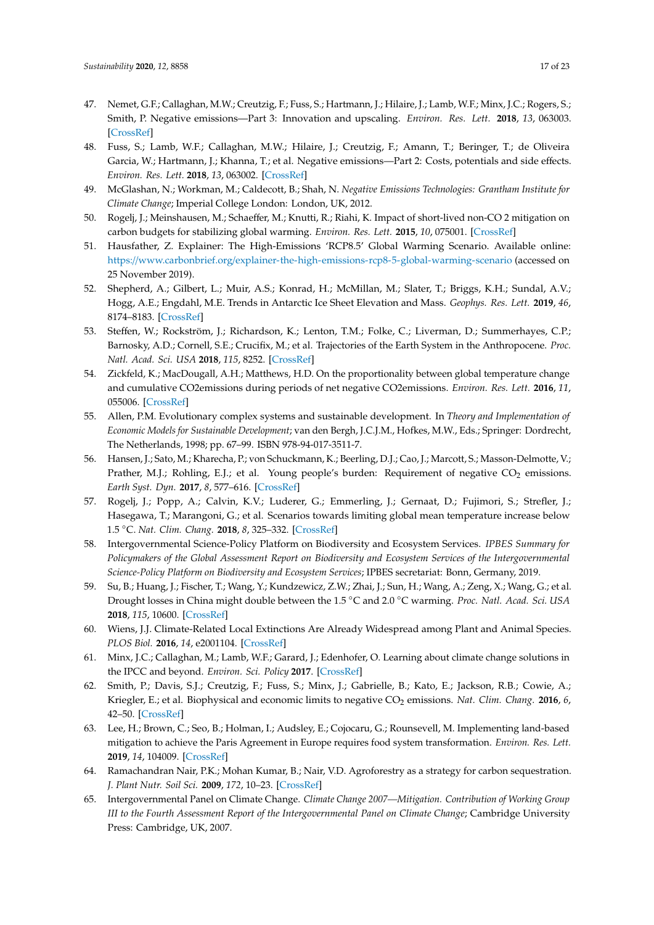- <span id="page-16-0"></span>47. Nemet, G.F.; Callaghan, M.W.; Creutzig, F.; Fuss, S.; Hartmann, J.; Hilaire, J.; Lamb, W.F.; Minx, J.C.; Rogers, S.; Smith, P. Negative emissions—Part 3: Innovation and upscaling. *Environ. Res. Lett.* **2018**, *13*, 063003. [\[CrossRef\]](http://dx.doi.org/10.1088/1748-9326/aabff4)
- <span id="page-16-1"></span>48. Fuss, S.; Lamb, W.F.; Callaghan, M.W.; Hilaire, J.; Creutzig, F.; Amann, T.; Beringer, T.; de Oliveira Garcia, W.; Hartmann, J.; Khanna, T.; et al. Negative emissions—Part 2: Costs, potentials and side effects. *Environ. Res. Lett.* **2018**, *13*, 063002. [\[CrossRef\]](http://dx.doi.org/10.1088/1748-9326/aabf9f)
- <span id="page-16-2"></span>49. McGlashan, N.; Workman, M.; Caldecott, B.; Shah, N. *Negative Emissions Technologies: Grantham Institute for Climate Change*; Imperial College London: London, UK, 2012.
- <span id="page-16-3"></span>50. Rogelj, J.; Meinshausen, M.; Schaeffer, M.; Knutti, R.; Riahi, K. Impact of short-lived non-CO 2 mitigation on carbon budgets for stabilizing global warming. *Environ. Res. Lett.* **2015**, *10*, 075001. [\[CrossRef\]](http://dx.doi.org/10.1088/1748-9326/10/7/075001)
- <span id="page-16-4"></span>51. Hausfather, Z. Explainer: The High-Emissions 'RCP8.5' Global Warming Scenario. Available online: https://www.carbonbrief.org/[explainer-the-high-emissions-rcp8-5-global-warming-scenario](https://www.carbonbrief.org/explainer-the-high-emissions-rcp8-5-global-warming-scenario) (accessed on 25 November 2019).
- <span id="page-16-5"></span>52. Shepherd, A.; Gilbert, L.; Muir, A.S.; Konrad, H.; McMillan, M.; Slater, T.; Briggs, K.H.; Sundal, A.V.; Hogg, A.E.; Engdahl, M.E. Trends in Antarctic Ice Sheet Elevation and Mass. *Geophys. Res. Lett.* **2019**, *46*, 8174–8183. [\[CrossRef\]](http://dx.doi.org/10.1029/2019GL082182)
- 53. Steffen, W.; Rockström, J.; Richardson, K.; Lenton, T.M.; Folke, C.; Liverman, D.; Summerhayes, C.P.; Barnosky, A.D.; Cornell, S.E.; Crucifix, M.; et al. Trajectories of the Earth System in the Anthropocene. *Proc. Natl. Acad. Sci. USA* **2018**, *115*, 8252. [\[CrossRef\]](http://dx.doi.org/10.1073/pnas.1810141115)
- <span id="page-16-6"></span>54. Zickfeld, K.; MacDougall, A.H.; Matthews, H.D. On the proportionality between global temperature change and cumulative CO2emissions during periods of net negative CO2emissions. *Environ. Res. Lett.* **2016**, *11*, 055006. [\[CrossRef\]](http://dx.doi.org/10.1088/1748-9326/11/5/055006)
- <span id="page-16-7"></span>55. Allen, P.M. Evolutionary complex systems and sustainable development. In *Theory and Implementation of Economic Models for Sustainable Development*; van den Bergh, J.C.J.M., Hofkes, M.W., Eds.; Springer: Dordrecht, The Netherlands, 1998; pp. 67–99. ISBN 978-94-017-3511-7.
- 56. Hansen, J.; Sato, M.; Kharecha, P.; von Schuckmann, K.; Beerling, D.J.; Cao, J.; Marcott, S.; Masson-Delmotte, V.; Prather, M.J.; Rohling, E.J.; et al. Young people's burden: Requirement of negative CO<sub>2</sub> emissions. *Earth Syst. Dyn.* **2017**, *8*, 577–616. [\[CrossRef\]](http://dx.doi.org/10.5194/esd-8-577-2017)
- <span id="page-16-8"></span>57. Rogelj, J.; Popp, A.; Calvin, K.V.; Luderer, G.; Emmerling, J.; Gernaat, D.; Fujimori, S.; Strefler, J.; Hasegawa, T.; Marangoni, G.; et al. Scenarios towards limiting global mean temperature increase below 1.5 ◦C. *Nat. Clim. Chang.* **2018**, *8*, 325–332. [\[CrossRef\]](http://dx.doi.org/10.1038/s41558-018-0091-3)
- <span id="page-16-9"></span>58. Intergovernmental Science-Policy Platform on Biodiversity and Ecosystem Services. *IPBES Summary for Policymakers of the Global Assessment Report on Biodiversity and Ecosystem Services of the Intergovernmental Science-Policy Platform on Biodiversity and Ecosystem Services*; IPBES secretariat: Bonn, Germany, 2019.
- 59. Su, B.; Huang, J.; Fischer, T.; Wang, Y.; Kundzewicz, Z.W.; Zhai, J.; Sun, H.; Wang, A.; Zeng, X.; Wang, G.; et al. Drought losses in China might double between the 1.5 ◦C and 2.0 ◦C warming. *Proc. Natl. Acad. Sci. USA* **2018**, *115*, 10600. [\[CrossRef\]](http://dx.doi.org/10.1073/pnas.1802129115)
- <span id="page-16-10"></span>60. Wiens, J.J. Climate-Related Local Extinctions Are Already Widespread among Plant and Animal Species. *PLOS Biol.* **2016**, *14*, e2001104. [\[CrossRef\]](http://dx.doi.org/10.1371/journal.pbio.2001104)
- <span id="page-16-11"></span>61. Minx, J.C.; Callaghan, M.; Lamb, W.F.; Garard, J.; Edenhofer, O. Learning about climate change solutions in the IPCC and beyond. *Environ. Sci. Policy* **2017**. [\[CrossRef\]](http://dx.doi.org/10.1016/j.envsci.2017.05.014)
- <span id="page-16-12"></span>62. Smith, P.; Davis, S.J.; Creutzig, F.; Fuss, S.; Minx, J.; Gabrielle, B.; Kato, E.; Jackson, R.B.; Cowie, A.; Kriegler, E.; et al. Biophysical and economic limits to negative CO<sub>2</sub> emissions. *Nat. Clim. Chang.* **2016**, *6*, 42–50. [\[CrossRef\]](http://dx.doi.org/10.1038/nclimate2870)
- <span id="page-16-13"></span>63. Lee, H.; Brown, C.; Seo, B.; Holman, I.; Audsley, E.; Cojocaru, G.; Rounsevell, M. Implementing land-based mitigation to achieve the Paris Agreement in Europe requires food system transformation. *Environ. Res. Lett.* **2019**, *14*, 104009. [\[CrossRef\]](http://dx.doi.org/10.1088/1748-9326/ab3744)
- <span id="page-16-14"></span>64. Ramachandran Nair, P.K.; Mohan Kumar, B.; Nair, V.D. Agroforestry as a strategy for carbon sequestration. *J. Plant Nutr. Soil Sci.* **2009**, *172*, 10–23. [\[CrossRef\]](http://dx.doi.org/10.1002/jpln.200800030)
- <span id="page-16-15"></span>65. Intergovernmental Panel on Climate Change. *Climate Change 2007—Mitigation. Contribution of Working Group III to the Fourth Assessment Report of the Intergovernmental Panel on Climate Change*; Cambridge University Press: Cambridge, UK, 2007.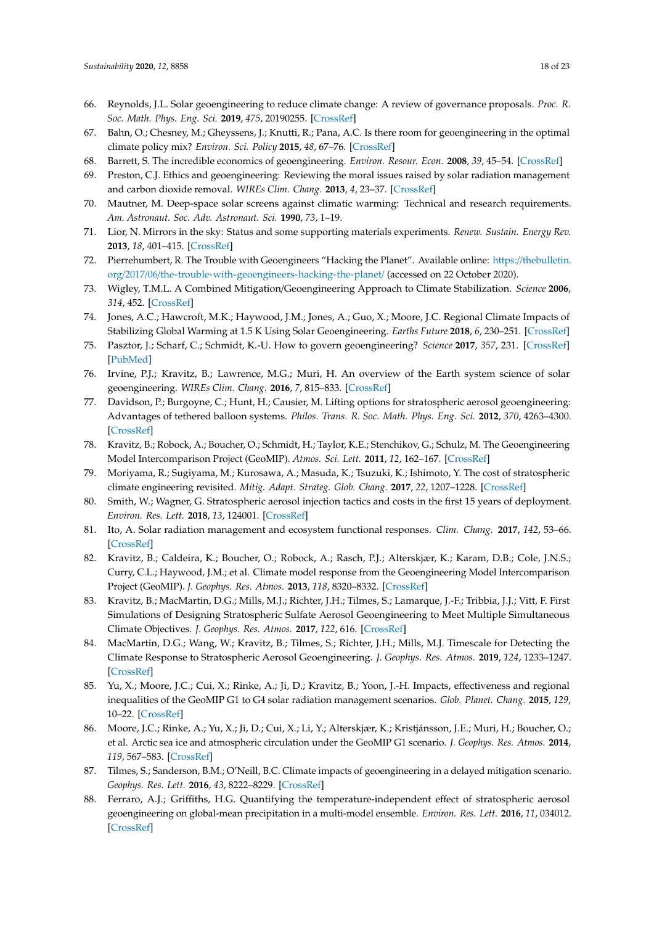- <span id="page-17-0"></span>66. Reynolds, J.L. Solar geoengineering to reduce climate change: A review of governance proposals. *Proc. R. Soc. Math. Phys. Eng. Sci.* **2019**, *475*, 20190255. [\[CrossRef\]](http://dx.doi.org/10.1098/rspa.2019.0255)
- <span id="page-17-19"></span>67. Bahn, O.; Chesney, M.; Gheyssens, J.; Knutti, R.; Pana, A.C. Is there room for geoengineering in the optimal climate policy mix? *Environ. Sci. Policy* **2015**, *48*, 67–76. [\[CrossRef\]](http://dx.doi.org/10.1016/j.envsci.2014.12.014)
- 68. Barrett, S. The incredible economics of geoengineering. *Environ. Resour. Econ.* **2008**, *39*, 45–54. [\[CrossRef\]](http://dx.doi.org/10.1007/s10640-007-9174-8)
- <span id="page-17-1"></span>69. Preston, C.J. Ethics and geoengineering: Reviewing the moral issues raised by solar radiation management and carbon dioxide removal. *WIREs Clim. Chang.* **2013**, *4*, 23–37. [\[CrossRef\]](http://dx.doi.org/10.1002/wcc.198)
- <span id="page-17-2"></span>70. Mautner, M. Deep-space solar screens against climatic warming: Technical and research requirements. *Am. Astronaut. Soc. Adv. Astronaut. Sci.* **1990**, *73*, 1–19.
- <span id="page-17-3"></span>71. Lior, N. Mirrors in the sky: Status and some supporting materials experiments. *Renew. Sustain. Energy Rev.* **2013**, *18*, 401–415. [\[CrossRef\]](http://dx.doi.org/10.1016/j.rser.2012.09.008)
- <span id="page-17-4"></span>72. Pierrehumbert, R. The Trouble with Geoengineers "Hacking the Planet". Available online: https://[thebulletin.](https://thebulletin.org/2017/06/the-trouble-with-geoengineers-hacking-the-planet/) org/2017/06/[the-trouble-with-geoengineers-hacking-the-planet](https://thebulletin.org/2017/06/the-trouble-with-geoengineers-hacking-the-planet/)/ (accessed on 22 October 2020).
- <span id="page-17-5"></span>73. Wigley, T.M.L. A Combined Mitigation/Geoengineering Approach to Climate Stabilization. *Science* **2006**, *314*, 452. [\[CrossRef\]](http://dx.doi.org/10.1126/science.1131728)
- <span id="page-17-6"></span>74. Jones, A.C.; Hawcroft, M.K.; Haywood, J.M.; Jones, A.; Guo, X.; Moore, J.C. Regional Climate Impacts of Stabilizing Global Warming at 1.5 K Using Solar Geoengineering. *Earths Future* **2018**, *6*, 230–251. [\[CrossRef\]](http://dx.doi.org/10.1002/2017EF000720)
- <span id="page-17-7"></span>75. Pasztor, J.; Scharf, C.; Schmidt, K.-U. How to govern geoengineering? *Science* **2017**, *357*, 231. [\[CrossRef\]](http://dx.doi.org/10.1126/science.aan6794) [\[PubMed\]](http://www.ncbi.nlm.nih.gov/pubmed/28729487)
- <span id="page-17-8"></span>76. Irvine, P.J.; Kravitz, B.; Lawrence, M.G.; Muri, H. An overview of the Earth system science of solar geoengineering. *WIREs Clim. Chang.* **2016**, *7*, 815–833. [\[CrossRef\]](http://dx.doi.org/10.1002/wcc.423)
- <span id="page-17-9"></span>77. Davidson, P.; Burgoyne, C.; Hunt, H.; Causier, M. Lifting options for stratospheric aerosol geoengineering: Advantages of tethered balloon systems. *Philos. Trans. R. Soc. Math. Phys. Eng. Sci.* **2012**, *370*, 4263–4300. [\[CrossRef\]](http://dx.doi.org/10.1098/rsta.2011.0639)
- <span id="page-17-10"></span>78. Kravitz, B.; Robock, A.; Boucher, O.; Schmidt, H.; Taylor, K.E.; Stenchikov, G.; Schulz, M. The Geoengineering Model Intercomparison Project (GeoMIP). *Atmos. Sci. Lett.* **2011**, *12*, 162–167. [\[CrossRef\]](http://dx.doi.org/10.1002/asl.316)
- <span id="page-17-11"></span>79. Moriyama, R.; Sugiyama, M.; Kurosawa, A.; Masuda, K.; Tsuzuki, K.; Ishimoto, Y. The cost of stratospheric climate engineering revisited. *Mitig. Adapt. Strateg. Glob. Chang.* **2017**, *22*, 1207–1228. [\[CrossRef\]](http://dx.doi.org/10.1007/s11027-016-9723-y)
- <span id="page-17-12"></span>80. Smith, W.; Wagner, G. Stratospheric aerosol injection tactics and costs in the first 15 years of deployment. *Environ. Res. Lett.* **2018**, *13*, 124001. [\[CrossRef\]](http://dx.doi.org/10.1088/1748-9326/aae98d)
- <span id="page-17-13"></span>81. Ito, A. Solar radiation management and ecosystem functional responses. *Clim. Chang.* **2017**, *142*, 53–66. [\[CrossRef\]](http://dx.doi.org/10.1007/s10584-017-1930-3)
- <span id="page-17-17"></span>82. Kravitz, B.; Caldeira, K.; Boucher, O.; Robock, A.; Rasch, P.J.; Alterskjær, K.; Karam, D.B.; Cole, J.N.S.; Curry, C.L.; Haywood, J.M.; et al. Climate model response from the Geoengineering Model Intercomparison Project (GeoMIP). *J. Geophys. Res. Atmos.* **2013**, *118*, 8320–8332. [\[CrossRef\]](http://dx.doi.org/10.1002/jgrd.50646)
- 83. Kravitz, B.; MacMartin, D.G.; Mills, M.J.; Richter, J.H.; Tilmes, S.; Lamarque, J.-F.; Tribbia, J.J.; Vitt, F. First Simulations of Designing Stratospheric Sulfate Aerosol Geoengineering to Meet Multiple Simultaneous Climate Objectives. *J. Geophys. Res. Atmos.* **2017**, *122*, 616. [\[CrossRef\]](http://dx.doi.org/10.1002/2017JD026874)
- 84. MacMartin, D.G.; Wang, W.; Kravitz, B.; Tilmes, S.; Richter, J.H.; Mills, M.J. Timescale for Detecting the Climate Response to Stratospheric Aerosol Geoengineering. *J. Geophys. Res. Atmos.* **2019**, *124*, 1233–1247. [\[CrossRef\]](http://dx.doi.org/10.1029/2018JD028906)
- <span id="page-17-14"></span>85. Yu, X.; Moore, J.C.; Cui, X.; Rinke, A.; Ji, D.; Kravitz, B.; Yoon, J.-H. Impacts, effectiveness and regional inequalities of the GeoMIP G1 to G4 solar radiation management scenarios. *Glob. Planet. Chang.* **2015**, *129*, 10–22. [\[CrossRef\]](http://dx.doi.org/10.1016/j.gloplacha.2015.02.010)
- <span id="page-17-15"></span>86. Moore, J.C.; Rinke, A.; Yu, X.; Ji, D.; Cui, X.; Li, Y.; Alterskjær, K.; Kristjánsson, J.E.; Muri, H.; Boucher, O.; et al. Arctic sea ice and atmospheric circulation under the GeoMIP G1 scenario. *J. Geophys. Res. Atmos.* **2014**, *119*, 567–583. [\[CrossRef\]](http://dx.doi.org/10.1002/2013JD021060)
- <span id="page-17-16"></span>87. Tilmes, S.; Sanderson, B.M.; O'Neill, B.C. Climate impacts of geoengineering in a delayed mitigation scenario. *Geophys. Res. Lett.* **2016**, *43*, 8222–8229. [\[CrossRef\]](http://dx.doi.org/10.1002/2016GL070122)
- <span id="page-17-18"></span>88. Ferraro, A.J.; Griffiths, H.G. Quantifying the temperature-independent effect of stratospheric aerosol geoengineering on global-mean precipitation in a multi-model ensemble. *Environ. Res. Lett.* **2016**, *11*, 034012. [\[CrossRef\]](http://dx.doi.org/10.1088/1748-9326/11/3/034012)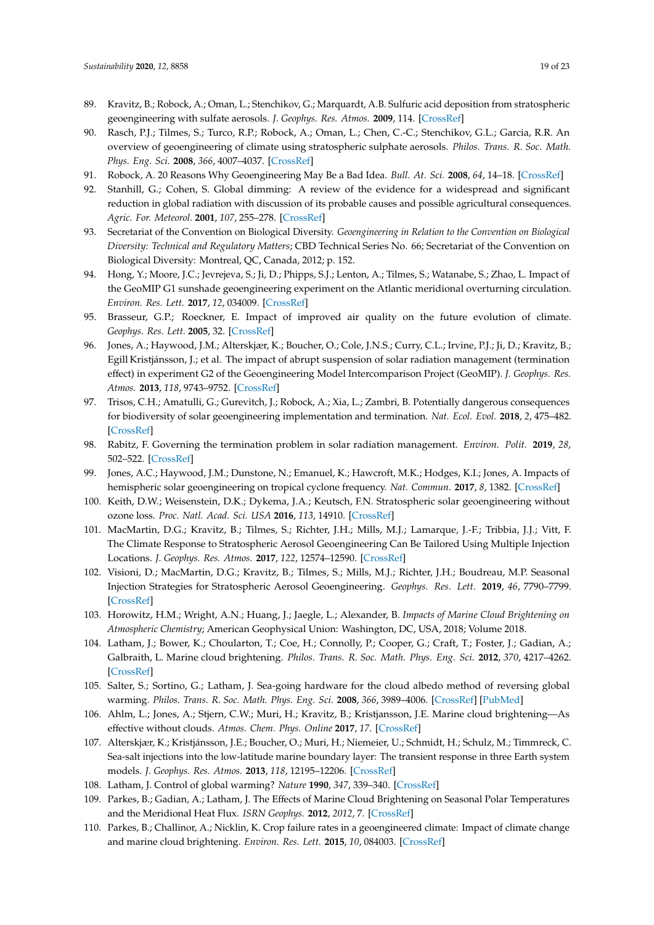- 89. Kravitz, B.; Robock, A.; Oman, L.; Stenchikov, G.; Marquardt, A.B. Sulfuric acid deposition from stratospheric geoengineering with sulfate aerosols. *J. Geophys. Res. Atmos.* **2009**, 114. [\[CrossRef\]](http://dx.doi.org/10.1029/2009JD011918)
- 90. Rasch, P.J.; Tilmes, S.; Turco, R.P.; Robock, A.; Oman, L.; Chen, C.-C.; Stenchikov, G.L.; Garcia, R.R. An overview of geoengineering of climate using stratospheric sulphate aerosols. *Philos. Trans. R. Soc. Math. Phys. Eng. Sci.* **2008**, *366*, 4007–4037. [\[CrossRef\]](http://dx.doi.org/10.1098/rsta.2008.0131)
- <span id="page-18-16"></span>91. Robock, A. 20 Reasons Why Geoengineering May Be a Bad Idea. *Bull. At. Sci.* **2008**, *64*, 14–18. [\[CrossRef\]](http://dx.doi.org/10.1080/00963402.2008.11461140)
- 92. Stanhill, G.; Cohen, S. Global dimming: A review of the evidence for a widespread and significant reduction in global radiation with discussion of its probable causes and possible agricultural consequences. *Agric. For. Meteorol.* **2001**, *107*, 255–278. [\[CrossRef\]](http://dx.doi.org/10.1016/S0168-1923(00)00241-0)
- <span id="page-18-0"></span>93. Secretariat of the Convention on Biological Diversity. *Geoengineering in Relation to the Convention on Biological Diversity: Technical and Regulatory Matters*; CBD Technical Series No. 66; Secretariat of the Convention on Biological Diversity: Montreal, QC, Canada, 2012; p. 152.
- <span id="page-18-1"></span>94. Hong, Y.; Moore, J.C.; Jevrejeva, S.; Ji, D.; Phipps, S.J.; Lenton, A.; Tilmes, S.; Watanabe, S.; Zhao, L. Impact of the GeoMIP G1 sunshade geoengineering experiment on the Atlantic meridional overturning circulation. *Environ. Res. Lett.* **2017**, *12*, 034009. [\[CrossRef\]](http://dx.doi.org/10.1088/1748-9326/aa5fb8)
- <span id="page-18-2"></span>95. Brasseur, G.P.; Roeckner, E. Impact of improved air quality on the future evolution of climate. *Geophys. Res. Lett.* **2005**, 32. [\[CrossRef\]](http://dx.doi.org/10.1029/2005GL023902)
- <span id="page-18-15"></span>96. Jones, A.; Haywood, J.M.; Alterskjær, K.; Boucher, O.; Cole, J.N.S.; Curry, C.L.; Irvine, P.J.; Ji, D.; Kravitz, B.; Egill Kristjánsson, J.; et al. The impact of abrupt suspension of solar radiation management (termination effect) in experiment G2 of the Geoengineering Model Intercomparison Project (GeoMIP). *J. Geophys. Res. Atmos.* **2013**, *118*, 9743–9752. [\[CrossRef\]](http://dx.doi.org/10.1002/jgrd.50762)
- <span id="page-18-3"></span>97. Trisos, C.H.; Amatulli, G.; Gurevitch, J.; Robock, A.; Xia, L.; Zambri, B. Potentially dangerous consequences for biodiversity of solar geoengineering implementation and termination. *Nat. Ecol. Evol.* **2018**, *2*, 475–482. [\[CrossRef\]](http://dx.doi.org/10.1038/s41559-017-0431-0)
- <span id="page-18-4"></span>98. Rabitz, F. Governing the termination problem in solar radiation management. *Environ. Polit.* **2019**, *28*, 502–522. [\[CrossRef\]](http://dx.doi.org/10.1080/09644016.2018.1519879)
- <span id="page-18-5"></span>99. Jones, A.C.; Haywood, J.M.; Dunstone, N.; Emanuel, K.; Hawcroft, M.K.; Hodges, K.I.; Jones, A. Impacts of hemispheric solar geoengineering on tropical cyclone frequency. *Nat. Commun.* **2017**, *8*, 1382. [\[CrossRef\]](http://dx.doi.org/10.1038/s41467-017-01606-0)
- 100. Keith, D.W.; Weisenstein, D.K.; Dykema, J.A.; Keutsch, F.N. Stratospheric solar geoengineering without ozone loss. *Proc. Natl. Acad. Sci. USA* **2016**, *113*, 14910. [\[CrossRef\]](http://dx.doi.org/10.1073/pnas.1615572113)
- 101. MacMartin, D.G.; Kravitz, B.; Tilmes, S.; Richter, J.H.; Mills, M.J.; Lamarque, J.-F.; Tribbia, J.J.; Vitt, F. The Climate Response to Stratospheric Aerosol Geoengineering Can Be Tailored Using Multiple Injection Locations. *J. Geophys. Res. Atmos.* **2017**, *122*, 12574–12590. [\[CrossRef\]](http://dx.doi.org/10.1002/2017JD026868)
- <span id="page-18-6"></span>102. Visioni, D.; MacMartin, D.G.; Kravitz, B.; Tilmes, S.; Mills, M.J.; Richter, J.H.; Boudreau, M.P. Seasonal Injection Strategies for Stratospheric Aerosol Geoengineering. *Geophys. Res. Lett.* **2019**, *46*, 7790–7799. [\[CrossRef\]](http://dx.doi.org/10.1029/2019GL083680)
- <span id="page-18-7"></span>103. Horowitz, H.M.; Wright, A.N.; Huang, J.; Jaegle, L.; Alexander, B. *Impacts of Marine Cloud Brightening on Atmospheric Chemistry*; American Geophysical Union: Washington, DC, USA, 2018; Volume 2018.
- <span id="page-18-12"></span>104. Latham, J.; Bower, K.; Choularton, T.; Coe, H.; Connolly, P.; Cooper, G.; Craft, T.; Foster, J.; Gadian, A.; Galbraith, L. Marine cloud brightening. *Philos. Trans. R. Soc. Math. Phys. Eng. Sci.* **2012**, *370*, 4217–4262. [\[CrossRef\]](http://dx.doi.org/10.1098/rsta.2012.0086)
- <span id="page-18-8"></span>105. Salter, S.; Sortino, G.; Latham, J. Sea-going hardware for the cloud albedo method of reversing global warming. *Philos. Trans. R. Soc. Math. Phys. Eng. Sci.* **2008**, *366*, 3989–4006. [\[CrossRef\]](http://dx.doi.org/10.1098/rsta.2008.0136) [\[PubMed\]](http://www.ncbi.nlm.nih.gov/pubmed/18757273)
- <span id="page-18-9"></span>106. Ahlm, L.; Jones, A.; Stjern, C.W.; Muri, H.; Kravitz, B.; Kristjansson, J.E. Marine cloud brightening—As effective without clouds. *Atmos. Chem. Phys. Online* **2017**, *17*. [\[CrossRef\]](http://dx.doi.org/10.5194/acp-17-13071-2017)
- <span id="page-18-10"></span>107. Alterskjær, K.; Kristjánsson, J.E.; Boucher, O.; Muri, H.; Niemeier, U.; Schmidt, H.; Schulz, M.; Timmreck, C. Sea-salt injections into the low-latitude marine boundary layer: The transient response in three Earth system models. *J. Geophys. Res. Atmos.* **2013**, *118*, 12195–12206. [\[CrossRef\]](http://dx.doi.org/10.1002/2013JD020432)
- <span id="page-18-11"></span>108. Latham, J. Control of global warming? *Nature* **1990**, *347*, 339–340. [\[CrossRef\]](http://dx.doi.org/10.1038/347339b0)
- <span id="page-18-13"></span>109. Parkes, B.; Gadian, A.; Latham, J. The Effects of Marine Cloud Brightening on Seasonal Polar Temperatures and the Meridional Heat Flux. *ISRN Geophys.* **2012**, *2012*, 7. [\[CrossRef\]](http://dx.doi.org/10.5402/2012/142872)
- <span id="page-18-14"></span>110. Parkes, B.; Challinor, A.; Nicklin, K. Crop failure rates in a geoengineered climate: Impact of climate change and marine cloud brightening. *Environ. Res. Lett.* **2015**, *10*, 084003. [\[CrossRef\]](http://dx.doi.org/10.1088/1748-9326/10/8/084003)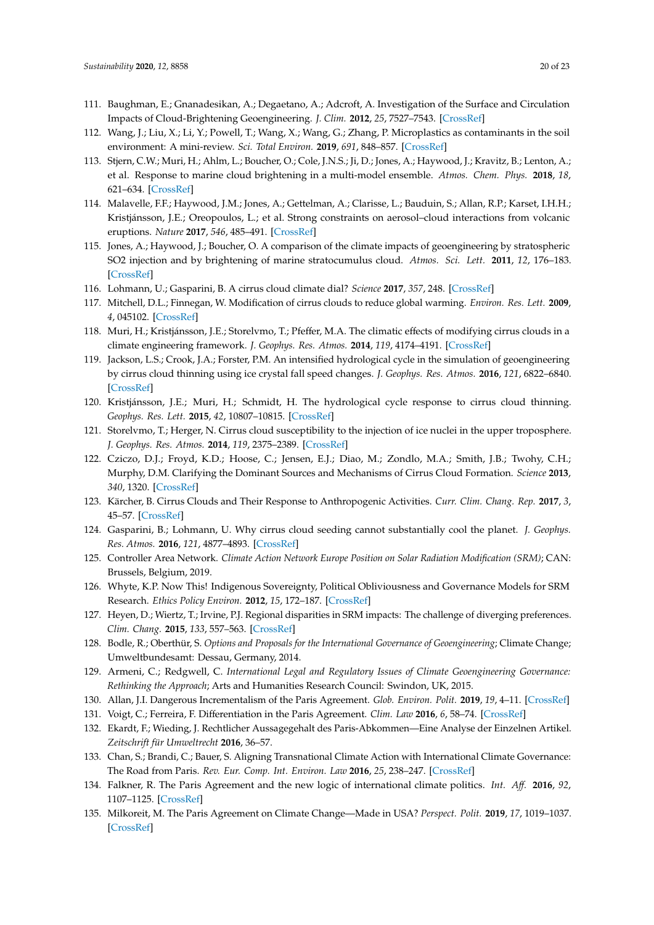- <span id="page-19-0"></span>111. Baughman, E.; Gnanadesikan, A.; Degaetano, A.; Adcroft, A. Investigation of the Surface and Circulation Impacts of Cloud-Brightening Geoengineering. *J. Clim.* **2012**, *25*, 7527–7543. [\[CrossRef\]](http://dx.doi.org/10.1175/JCLI-D-11-00282.1)
- <span id="page-19-1"></span>112. Wang, J.; Liu, X.; Li, Y.; Powell, T.; Wang, X.; Wang, G.; Zhang, P. Microplastics as contaminants in the soil environment: A mini-review. *Sci. Total Environ.* **2019**, *691*, 848–857. [\[CrossRef\]](http://dx.doi.org/10.1016/j.scitotenv.2019.07.209)
- <span id="page-19-2"></span>113. Stjern, C.W.; Muri, H.; Ahlm, L.; Boucher, O.; Cole, J.N.S.; Ji, D.; Jones, A.; Haywood, J.; Kravitz, B.; Lenton, A.; et al. Response to marine cloud brightening in a multi-model ensemble. *Atmos. Chem. Phys.* **2018**, *18*, 621–634. [\[CrossRef\]](http://dx.doi.org/10.5194/acp-18-621-2018)
- <span id="page-19-3"></span>114. Malavelle, F.F.; Haywood, J.M.; Jones, A.; Gettelman, A.; Clarisse, L.; Bauduin, S.; Allan, R.P.; Karset, I.H.H.; Kristjánsson, J.E.; Oreopoulos, L.; et al. Strong constraints on aerosol–cloud interactions from volcanic eruptions. *Nature* **2017**, *546*, 485–491. [\[CrossRef\]](http://dx.doi.org/10.1038/nature22974)
- <span id="page-19-4"></span>115. Jones, A.; Haywood, J.; Boucher, O. A comparison of the climate impacts of geoengineering by stratospheric SO2 injection and by brightening of marine stratocumulus cloud. *Atmos. Sci. Lett.* **2011**, *12*, 176–183. [\[CrossRef\]](http://dx.doi.org/10.1002/asl.291)
- <span id="page-19-5"></span>116. Lohmann, U.; Gasparini, B. A cirrus cloud climate dial? *Science* **2017**, *357*, 248. [\[CrossRef\]](http://dx.doi.org/10.1126/science.aan3325)
- <span id="page-19-6"></span>117. Mitchell, D.L.; Finnegan, W. Modification of cirrus clouds to reduce global warming. *Environ. Res. Lett.* **2009**, *4*, 045102. [\[CrossRef\]](http://dx.doi.org/10.1088/1748-9326/4/4/045102)
- <span id="page-19-7"></span>118. Muri, H.; Kristjánsson, J.E.; Storelvmo, T.; Pfeffer, M.A. The climatic effects of modifying cirrus clouds in a climate engineering framework. *J. Geophys. Res. Atmos.* **2014**, *119*, 4174–4191. [\[CrossRef\]](http://dx.doi.org/10.1002/2013JD021063)
- <span id="page-19-8"></span>119. Jackson, L.S.; Crook, J.A.; Forster, P.M. An intensified hydrological cycle in the simulation of geoengineering by cirrus cloud thinning using ice crystal fall speed changes. *J. Geophys. Res. Atmos.* **2016**, *121*, 6822–6840. [\[CrossRef\]](http://dx.doi.org/10.1002/2015JD024304)
- 120. Kristjánsson, J.E.; Muri, H.; Schmidt, H. The hydrological cycle response to cirrus cloud thinning. *Geophys. Res. Lett.* **2015**, *42*, 10807–10815. [\[CrossRef\]](http://dx.doi.org/10.1002/2015GL066795)
- <span id="page-19-9"></span>121. Storelvmo, T.; Herger, N. Cirrus cloud susceptibility to the injection of ice nuclei in the upper troposphere. *J. Geophys. Res. Atmos.* **2014**, *119*, 2375–2389. [\[CrossRef\]](http://dx.doi.org/10.1002/2013JD020816)
- <span id="page-19-10"></span>122. Cziczo, D.J.; Froyd, K.D.; Hoose, C.; Jensen, E.J.; Diao, M.; Zondlo, M.A.; Smith, J.B.; Twohy, C.H.; Murphy, D.M. Clarifying the Dominant Sources and Mechanisms of Cirrus Cloud Formation. *Science* **2013**, *340*, 1320. [\[CrossRef\]](http://dx.doi.org/10.1126/science.1234145)
- <span id="page-19-11"></span>123. Kärcher, B. Cirrus Clouds and Their Response to Anthropogenic Activities. *Curr. Clim. Chang. Rep.* **2017**, *3*, 45–57. [\[CrossRef\]](http://dx.doi.org/10.1007/s40641-017-0060-3)
- <span id="page-19-12"></span>124. Gasparini, B.; Lohmann, U. Why cirrus cloud seeding cannot substantially cool the planet. *J. Geophys. Res. Atmos.* **2016**, *121*, 4877–4893. [\[CrossRef\]](http://dx.doi.org/10.1002/2015JD024666)
- <span id="page-19-13"></span>125. Controller Area Network. *Climate Action Network Europe Position on Solar Radiation Modification (SRM)*; CAN: Brussels, Belgium, 2019.
- <span id="page-19-14"></span>126. Whyte, K.P. Now This! Indigenous Sovereignty, Political Obliviousness and Governance Models for SRM Research. *Ethics Policy Environ.* **2012**, *15*, 172–187. [\[CrossRef\]](http://dx.doi.org/10.1080/21550085.2012.685570)
- <span id="page-19-15"></span>127. Heyen, D.; Wiertz, T.; Irvine, P.J. Regional disparities in SRM impacts: The challenge of diverging preferences. *Clim. Chang.* **2015**, *133*, 557–563. [\[CrossRef\]](http://dx.doi.org/10.1007/s10584-015-1526-8)
- <span id="page-19-16"></span>128. Bodle, R.; Oberthür, S. *Options and Proposals for the International Governance of Geoengineering*; Climate Change; Umweltbundesamt: Dessau, Germany, 2014.
- <span id="page-19-17"></span>129. Armeni, C.; Redgwell, C. *International Legal and Regulatory Issues of Climate Geoengineering Governance: Rethinking the Approach*; Arts and Humanities Research Council: Swindon, UK, 2015.
- <span id="page-19-18"></span>130. Allan, J.I. Dangerous Incrementalism of the Paris Agreement. *Glob. Environ. Polit.* **2019**, *19*, 4–11. [\[CrossRef\]](http://dx.doi.org/10.1162/glep_a_00488)
- 131. Voigt, C.; Ferreira, F. Differentiation in the Paris Agreement. *Clim. Law* **2016**, *6*, 58–74. [\[CrossRef\]](http://dx.doi.org/10.1163/18786561-00601004)
- <span id="page-19-20"></span>132. Ekardt, F.; Wieding, J. Rechtlicher Aussagegehalt des Paris-Abkommen—Eine Analyse der Einzelnen Artikel. *Zeitschrift für Umweltrecht* **2016**, 36–57.
- 133. Chan, S.; Brandi, C.; Bauer, S. Aligning Transnational Climate Action with International Climate Governance: The Road from Paris. *Rev. Eur. Comp. Int. Environ. Law* **2016**, *25*, 238–247. [\[CrossRef\]](http://dx.doi.org/10.1111/reel.12168)
- <span id="page-19-19"></span>134. Falkner, R. The Paris Agreement and the new logic of international climate politics. *Int. A*ff*.* **2016**, *92*, 1107–1125. [\[CrossRef\]](http://dx.doi.org/10.1111/1468-2346.12708)
- 135. Milkoreit, M. The Paris Agreement on Climate Change—Made in USA? *Perspect. Polit.* **2019**, *17*, 1019–1037. [\[CrossRef\]](http://dx.doi.org/10.1017/S1537592719000951)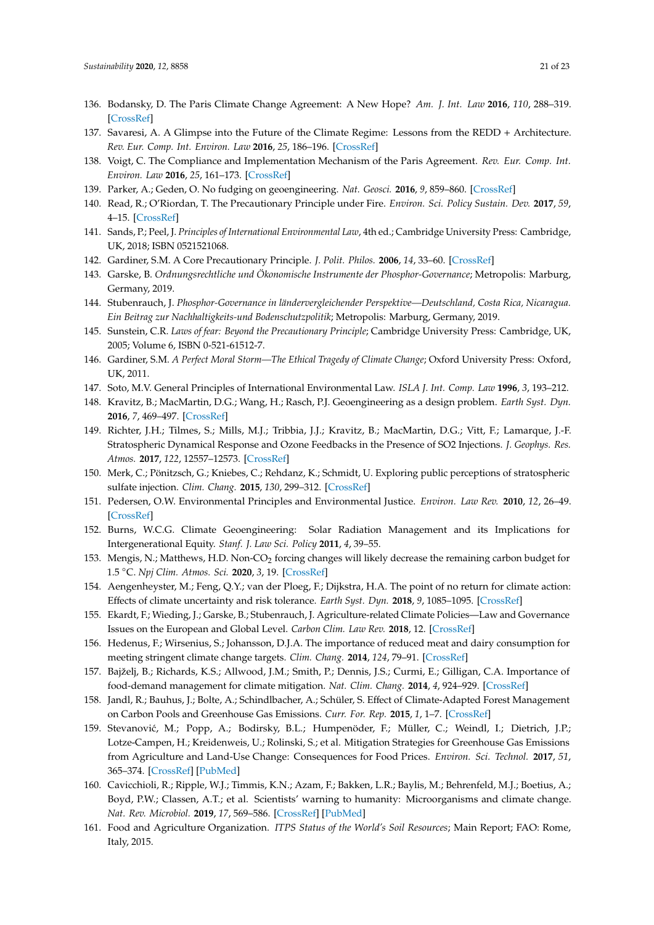- <span id="page-20-1"></span>136. Bodansky, D. The Paris Climate Change Agreement: A New Hope? *Am. J. Int. Law* **2016**, *110*, 288–319. [\[CrossRef\]](http://dx.doi.org/10.5305/amerjintelaw.110.2.0288)
- <span id="page-20-0"></span>137. Savaresi, A. A Glimpse into the Future of the Climate Regime: Lessons from the REDD + Architecture. *Rev. Eur. Comp. Int. Environ. Law* **2016**, *25*, 186–196. [\[CrossRef\]](http://dx.doi.org/10.1111/reel.12164)
- <span id="page-20-2"></span>138. Voigt, C. The Compliance and Implementation Mechanism of the Paris Agreement. *Rev. Eur. Comp. Int. Environ. Law* **2016**, *25*, 161–173. [\[CrossRef\]](http://dx.doi.org/10.1111/reel.12155)
- <span id="page-20-4"></span><span id="page-20-3"></span>139. Parker, A.; Geden, O. No fudging on geoengineering. *Nat. Geosci.* **2016**, *9*, 859–860. [\[CrossRef\]](http://dx.doi.org/10.1038/ngeo2851)
- 140. Read, R.; O'Riordan, T. The Precautionary Principle under Fire. *Environ. Sci. Policy Sustain. Dev.* **2017**, *59*, 4–15. [\[CrossRef\]](http://dx.doi.org/10.1080/00139157.2017.1350005)
- <span id="page-20-5"></span>141. Sands, P.; Peel, J. *Principles of International Environmental Law*, 4th ed.; Cambridge University Press: Cambridge, UK, 2018; ISBN 0521521068.
- 142. Gardiner, S.M. A Core Precautionary Principle. *J. Polit. Philos.* **2006**, *14*, 33–60. [\[CrossRef\]](http://dx.doi.org/10.1111/j.1467-9760.2006.00237.x)
- <span id="page-20-17"></span>143. Garske, B. *Ordnungsrechtliche und Ökonomische Instrumente der Phosphor-Governance*; Metropolis: Marburg, Germany, 2019.
- <span id="page-20-6"></span>144. Stubenrauch, J. *Phosphor-Governance in ländervergleichender Perspektive—Deutschland, Costa Rica, Nicaragua. Ein Beitrag zur Nachhaltigkeits-und Bodenschutzpolitik*; Metropolis: Marburg, Germany, 2019.
- <span id="page-20-7"></span>145. Sunstein, C.R. *Laws of fear: Beyond the Precautionary Principle*; Cambridge University Press: Cambridge, UK, 2005; Volume 6, ISBN 0-521-61512-7.
- <span id="page-20-8"></span>146. Gardiner, S.M. *A Perfect Moral Storm—The Ethical Tragedy of Climate Change*; Oxford University Press: Oxford, UK, 2011.
- <span id="page-20-9"></span>147. Soto, M.V. General Principles of International Environmental Law. *ISLA J. Int. Comp. Law* **1996**, *3*, 193–212.
- <span id="page-20-10"></span>148. Kravitz, B.; MacMartin, D.G.; Wang, H.; Rasch, P.J. Geoengineering as a design problem. *Earth Syst. Dyn.* **2016**, *7*, 469–497. [\[CrossRef\]](http://dx.doi.org/10.5194/esd-7-469-2016)
- <span id="page-20-11"></span>149. Richter, J.H.; Tilmes, S.; Mills, M.J.; Tribbia, J.J.; Kravitz, B.; MacMartin, D.G.; Vitt, F.; Lamarque, J.-F. Stratospheric Dynamical Response and Ozone Feedbacks in the Presence of SO2 Injections. *J. Geophys. Res. Atmos.* **2017**, *122*, 12557–12573. [\[CrossRef\]](http://dx.doi.org/10.1002/2017JD026912)
- <span id="page-20-12"></span>150. Merk, C.; Pönitzsch, G.; Kniebes, C.; Rehdanz, K.; Schmidt, U. Exploring public perceptions of stratospheric sulfate injection. *Clim. Chang.* **2015**, *130*, 299–312. [\[CrossRef\]](http://dx.doi.org/10.1007/s10584-014-1317-7)
- <span id="page-20-13"></span>151. Pedersen, O.W. Environmental Principles and Environmental Justice. *Environ. Law Rev.* **2010**, *12*, 26–49. [\[CrossRef\]](http://dx.doi.org/10.1350/enlr.2010.12.1.074)
- <span id="page-20-14"></span>152. Burns, W.C.G. Climate Geoengineering: Solar Radiation Management and its Implications for Intergenerational Equity. *Stanf. J. Law Sci. Policy* **2011**, *4*, 39–55.
- <span id="page-20-15"></span>153. Mengis, N.; Matthews, H.D. Non-CO<sub>2</sub> forcing changes will likely decrease the remaining carbon budget for 1.5 ◦C. *Npj Clim. Atmos. Sci.* **2020**, *3*, 19. [\[CrossRef\]](http://dx.doi.org/10.1038/s41612-020-0123-3)
- <span id="page-20-16"></span>154. Aengenheyster, M.; Feng, Q.Y.; van der Ploeg, F.; Dijkstra, H.A. The point of no return for climate action: Effects of climate uncertainty and risk tolerance. *Earth Syst. Dyn.* **2018**, *9*, 1085–1095. [\[CrossRef\]](http://dx.doi.org/10.5194/esd-9-1085-2018)
- <span id="page-20-18"></span>155. Ekardt, F.; Wieding, J.; Garske, B.; Stubenrauch, J. Agriculture-related Climate Policies—Law and Governance Issues on the European and Global Level. *Carbon Clim. Law Rev.* **2018**, 12. [\[CrossRef\]](http://dx.doi.org/10.21552/cclr/2018/4/7)
- <span id="page-20-19"></span>156. Hedenus, F.; Wirsenius, S.; Johansson, D.J.A. The importance of reduced meat and dairy consumption for meeting stringent climate change targets. *Clim. Chang.* **2014**, *124*, 79–91. [\[CrossRef\]](http://dx.doi.org/10.1007/s10584-014-1104-5)
- <span id="page-20-20"></span>157. Bajželj, B.; Richards, K.S.; Allwood, J.M.; Smith, P.; Dennis, J.S.; Curmi, E.; Gilligan, C.A. Importance of food-demand management for climate mitigation. *Nat. Clim. Chang.* **2014**, *4*, 924–929. [\[CrossRef\]](http://dx.doi.org/10.1038/nclimate2353)
- 158. Jandl, R.; Bauhus, J.; Bolte, A.; Schindlbacher, A.; Schüler, S. Effect of Climate-Adapted Forest Management on Carbon Pools and Greenhouse Gas Emissions. *Curr. For. Rep.* **2015**, *1*, 1–7. [\[CrossRef\]](http://dx.doi.org/10.1007/s40725-015-0006-8)
- <span id="page-20-21"></span>159. Stevanović, M.; Popp, A.; Bodirsky, B.L.; Humpenöder, F.; Müller, C.; Weindl, I.; Dietrich, J.P.; Lotze-Campen, H.; Kreidenweis, U.; Rolinski, S.; et al. Mitigation Strategies for Greenhouse Gas Emissions from Agriculture and Land-Use Change: Consequences for Food Prices. *Environ. Sci. Technol.* **2017**, *51*, 365–374. [\[CrossRef\]](http://dx.doi.org/10.1021/acs.est.6b04291) [\[PubMed\]](http://www.ncbi.nlm.nih.gov/pubmed/27981847)
- <span id="page-20-22"></span>160. Cavicchioli, R.; Ripple, W.J.; Timmis, K.N.; Azam, F.; Bakken, L.R.; Baylis, M.; Behrenfeld, M.J.; Boetius, A.; Boyd, P.W.; Classen, A.T.; et al. Scientists' warning to humanity: Microorganisms and climate change. *Nat. Rev. Microbiol.* **2019**, *17*, 569–586. [\[CrossRef\]](http://dx.doi.org/10.1038/s41579-019-0222-5) [\[PubMed\]](http://www.ncbi.nlm.nih.gov/pubmed/31213707)
- 161. Food and Agriculture Organization. *ITPS Status of the World's Soil Resources*; Main Report; FAO: Rome, Italy, 2015.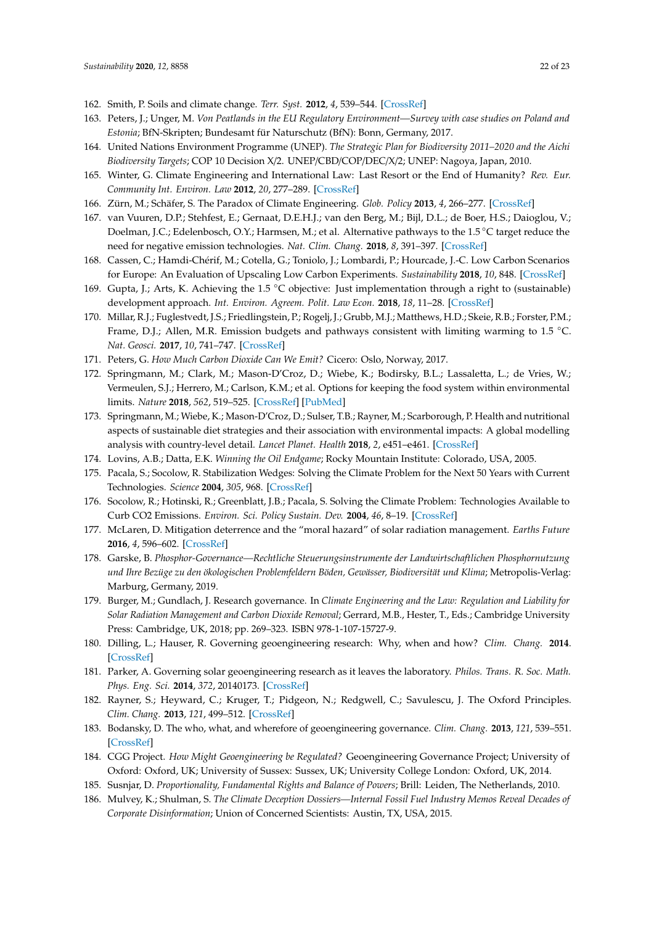- <span id="page-21-0"></span>162. Smith, P. Soils and climate change. *Terr. Syst.* **2012**, *4*, 539–544. [\[CrossRef\]](http://dx.doi.org/10.1016/j.cosust.2012.06.005)
- <span id="page-21-1"></span>163. Peters, J.; Unger, M. *Von Peatlands in the EU Regulatory Environment—Survey with case studies on Poland and Estonia*; BfN-Skripten; Bundesamt für Naturschutz (BfN): Bonn, Germany, 2017.
- <span id="page-21-2"></span>164. United Nations Environment Programme (UNEP). *The Strategic Plan for Biodiversity 2011–2020 and the Aichi Biodiversity Targets*; COP 10 Decision X/2. UNEP/CBD/COP/DEC/X/2; UNEP: Nagoya, Japan, 2010.
- <span id="page-21-3"></span>165. Winter, G. Climate Engineering and International Law: Last Resort or the End of Humanity? *Rev. Eur. Community Int. Environ. Law* **2012**, *20*, 277–289. [\[CrossRef\]](http://dx.doi.org/10.1111/j.1467-9388.2012.00730.x)
- <span id="page-21-4"></span>166. Zürn, M.; Schäfer, S. The Paradox of Climate Engineering. *Glob. Policy* **2013**, *4*, 266–277. [\[CrossRef\]](http://dx.doi.org/10.1111/gpol.12004)
- <span id="page-21-5"></span>167. van Vuuren, D.P.; Stehfest, E.; Gernaat, D.E.H.J.; van den Berg, M.; Bijl, D.L.; de Boer, H.S.; Daioglou, V.; Doelman, J.C.; Edelenbosch, O.Y.; Harmsen, M.; et al. Alternative pathways to the 1.5 ◦C target reduce the need for negative emission technologies. *Nat. Clim. Chang.* **2018**, *8*, 391–397. [\[CrossRef\]](http://dx.doi.org/10.1038/s41558-018-0119-8)
- 168. Cassen, C.; Hamdi-Chérif, M.; Cotella, G.; Toniolo, J.; Lombardi, P.; Hourcade, J.-C. Low Carbon Scenarios for Europe: An Evaluation of Upscaling Low Carbon Experiments. *Sustainability* **2018**, *10*, 848. [\[CrossRef\]](http://dx.doi.org/10.3390/su10030848)
- 169. Gupta, J.; Arts, K. Achieving the 1.5 ◦C objective: Just implementation through a right to (sustainable) development approach. *Int. Environ. Agreem. Polit. Law Econ.* **2018**, *18*, 11–28. [\[CrossRef\]](http://dx.doi.org/10.1007/s10784-017-9376-7)
- 170. Millar, R.J.; Fuglestvedt, J.S.; Friedlingstein, P.; Rogelj, J.; Grubb, M.J.; Matthews, H.D.; Skeie, R.B.; Forster, P.M.; Frame, D.J.; Allen, M.R. Emission budgets and pathways consistent with limiting warming to 1.5 ◦C. *Nat. Geosci.* **2017**, *10*, 741–747. [\[CrossRef\]](http://dx.doi.org/10.1038/ngeo3031)
- <span id="page-21-7"></span><span id="page-21-6"></span>171. Peters, G. *How Much Carbon Dioxide Can We Emit?* Cicero: Oslo, Norway, 2017.
- 172. Springmann, M.; Clark, M.; Mason-D'Croz, D.; Wiebe, K.; Bodirsky, B.L.; Lassaletta, L.; de Vries, W.; Vermeulen, S.J.; Herrero, M.; Carlson, K.M.; et al. Options for keeping the food system within environmental limits. *Nature* **2018**, *562*, 519–525. [\[CrossRef\]](http://dx.doi.org/10.1038/s41586-018-0594-0) [\[PubMed\]](http://www.ncbi.nlm.nih.gov/pubmed/30305731)
- <span id="page-21-8"></span>173. Springmann, M.; Wiebe, K.; Mason-D'Croz, D.; Sulser, T.B.; Rayner, M.; Scarborough, P. Health and nutritional aspects of sustainable diet strategies and their association with environmental impacts: A global modelling analysis with country-level detail. *Lancet Planet. Health* **2018**, *2*, e451–e461. [\[CrossRef\]](http://dx.doi.org/10.1016/S2542-5196(18)30206-7)
- <span id="page-21-9"></span>174. Lovins, A.B.; Datta, E.K. *Winning the Oil Endgame*; Rocky Mountain Institute: Colorado, USA, 2005.
- 175. Pacala, S.; Socolow, R. Stabilization Wedges: Solving the Climate Problem for the Next 50 Years with Current Technologies. *Science* **2004**, *305*, 968. [\[CrossRef\]](http://dx.doi.org/10.1126/science.1100103)
- <span id="page-21-10"></span>176. Socolow, R.; Hotinski, R.; Greenblatt, J.B.; Pacala, S. Solving the Climate Problem: Technologies Available to Curb CO2 Emissions. *Environ. Sci. Policy Sustain. Dev.* **2004**, *46*, 8–19. [\[CrossRef\]](http://dx.doi.org/10.1080/00139150409605818)
- <span id="page-21-11"></span>177. McLaren, D. Mitigation deterrence and the "moral hazard" of solar radiation management. *Earths Future* **2016**, *4*, 596–602. [\[CrossRef\]](http://dx.doi.org/10.1002/2016EF000445)
- <span id="page-21-12"></span>178. Garske, B. *Phosphor-Governance—Rechtliche Steuerungsinstrumente der Landwirtschaftlichen Phosphornutzung und Ihre Bezüge zu den ökologischen Problemfeldern Böden, Gewässer, Biodiversität und Klima*; Metropolis-Verlag: Marburg, Germany, 2019.
- <span id="page-21-13"></span>179. Burger, M.; Gundlach, J. Research governance. In *Climate Engineering and the Law: Regulation and Liability for Solar Radiation Management and Carbon Dioxide Removal*; Gerrard, M.B., Hester, T., Eds.; Cambridge University Press: Cambridge, UK, 2018; pp. 269–323. ISBN 978-1-107-15727-9.
- 180. Dilling, L.; Hauser, R. Governing geoengineering research: Why, when and how? *Clim. Chang.* **2014**. [\[CrossRef\]](http://dx.doi.org/10.1007/s10584-013-0835-z)
- <span id="page-21-14"></span>181. Parker, A. Governing solar geoengineering research as it leaves the laboratory. *Philos. Trans. R. Soc. Math. Phys. Eng. Sci.* **2014**, *372*, 20140173. [\[CrossRef\]](http://dx.doi.org/10.1098/rsta.2014.0173)
- <span id="page-21-15"></span>182. Rayner, S.; Heyward, C.; Kruger, T.; Pidgeon, N.; Redgwell, C.; Savulescu, J. The Oxford Principles. *Clim. Chang.* **2013**, *121*, 499–512. [\[CrossRef\]](http://dx.doi.org/10.1007/s10584-012-0675-2)
- <span id="page-21-16"></span>183. Bodansky, D. The who, what, and wherefore of geoengineering governance. *Clim. Chang.* **2013**, *121*, 539–551. [\[CrossRef\]](http://dx.doi.org/10.1007/s10584-013-0759-7)
- <span id="page-21-17"></span>184. CGG Project. *How Might Geoengineering be Regulated?* Geoengineering Governance Project; University of Oxford: Oxford, UK; University of Sussex: Sussex, UK; University College London: Oxford, UK, 2014.
- <span id="page-21-18"></span>185. Susnjar, D. *Proportionality, Fundamental Rights and Balance of Powers*; Brill: Leiden, The Netherlands, 2010.
- <span id="page-21-19"></span>186. Mulvey, K.; Shulman, S. *The Climate Deception Dossiers—Internal Fossil Fuel Industry Memos Reveal Decades of Corporate Disinformation*; Union of Concerned Scientists: Austin, TX, USA, 2015.